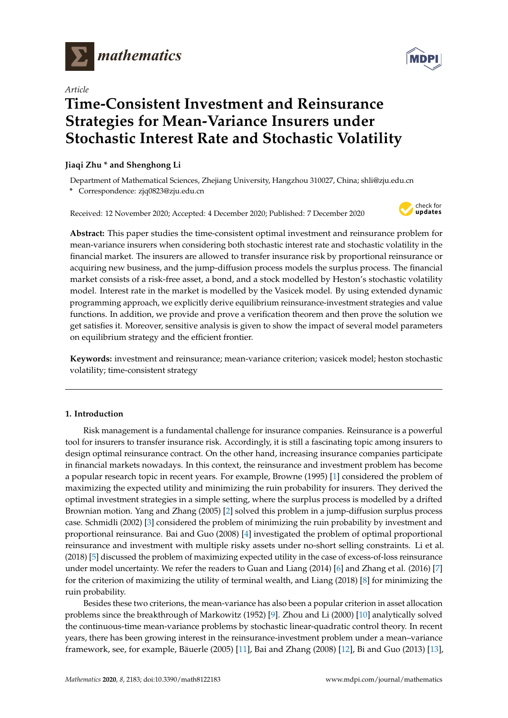

*Article*

# **Time-Consistent Investment and Reinsurance Strategies for Mean-Variance Insurers under Stochastic Interest Rate and Stochastic Volatility**

## **Jiaqi Zhu \* and Shenghong Li**

Department of Mathematical Sciences, Zhejiang University, Hangzhou 310027, China; shli@zju.edu.cn **\*** Correspondence: zjq0823@zju.edu.cn

Received: 12 November 2020; Accepted: 4 December 2020; Published: 7 December 2020



**Abstract:** This paper studies the time-consistent optimal investment and reinsurance problem for mean-variance insurers when considering both stochastic interest rate and stochastic volatility in the financial market. The insurers are allowed to transfer insurance risk by proportional reinsurance or acquiring new business, and the jump-diffusion process models the surplus process. The financial market consists of a risk-free asset, a bond, and a stock modelled by Heston's stochastic volatility model. Interest rate in the market is modelled by the Vasicek model. By using extended dynamic programming approach, we explicitly derive equilibrium reinsurance-investment strategies and value functions. In addition, we provide and prove a verification theorem and then prove the solution we get satisfies it. Moreover, sensitive analysis is given to show the impact of several model parameters on equilibrium strategy and the efficient frontier.

**Keywords:** investment and reinsurance; mean-variance criterion; vasicek model; heston stochastic volatility; time-consistent strategy

# **1. Introduction**

Risk management is a fundamental challenge for insurance companies. Reinsurance is a powerful tool for insurers to transfer insurance risk. Accordingly, it is still a fascinating topic among insurers to design optimal reinsurance contract. On the other hand, increasing insurance companies participate in financial markets nowadays. In this context, the reinsurance and investment problem has become a popular research topic in recent years. For example, Browne (1995) [\[1\]](#page-20-0) considered the problem of maximizing the expected utility and minimizing the ruin probability for insurers. They derived the optimal investment strategies in a simple setting, where the surplus process is modelled by a drifted Brownian motion. Yang and Zhang (2005) [\[2\]](#page-20-1) solved this problem in a jump-diffusion surplus process case. Schmidli (2002) [\[3\]](#page-20-2) considered the problem of minimizing the ruin probability by investment and proportional reinsurance. Bai and Guo (2008) [\[4\]](#page-20-3) investigated the problem of optimal proportional reinsurance and investment with multiple risky assets under no-short selling constraints. Li et al. (2018) [\[5\]](#page-20-4) discussed the problem of maximizing expected utility in the case of excess-of-loss reinsurance under model uncertainty. We refer the readers to Guan and Liang (2014) [\[6\]](#page-20-5) and Zhang et al. (2016) [\[7\]](#page-20-6) for the criterion of maximizing the utility of terminal wealth, and Liang (2018) [\[8\]](#page-20-7) for minimizing the ruin probability.

Besides these two criterions, the mean-variance has also been a popular criterion in asset allocation problems since the breakthrough of Markowitz (1952) [\[9\]](#page-20-8). Zhou and Li (2000) [\[10\]](#page-20-9) analytically solved the continuous-time mean-variance problems by stochastic linear-quadratic control theory. In recent years, there has been growing interest in the reinsurance-investment problem under a mean–variance framework, see, for example, Bäuerle (2005) [\[11\]](#page-20-10), Bai and Zhang (2008) [\[12\]](#page-20-11), Bi and Guo (2013) [\[13\]](#page-20-12),

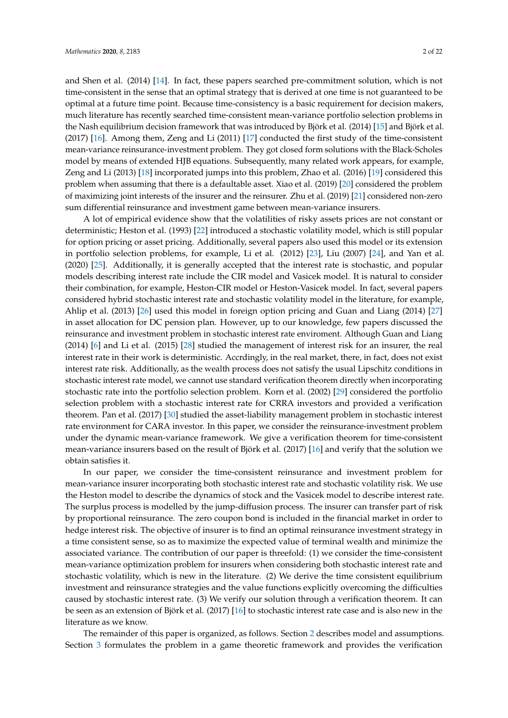and Shen et al. (2014) [\[14\]](#page-20-13). In fact, these papers searched pre-commitment solution, which is not time-consistent in the sense that an optimal strategy that is derived at one time is not guaranteed to be optimal at a future time point. Because time-consistency is a basic requirement for decision makers, much literature has recently searched time-consistent mean-variance portfolio selection problems in the Nash equilibrium decision framework that was introduced by Björk et al. (2014) [\[15\]](#page-20-14) and Björk et al. (2017) [\[16\]](#page-20-15). Among them, Zeng and Li (2011) [\[17\]](#page-20-16) conducted the first study of the time-consistent mean-variance reinsurance-investment problem. They got closed form solutions with the Black-Scholes model by means of extended HJB equations. Subsequently, many related work appears, for example, Zeng and Li (2013) [\[18\]](#page-20-17) incorporated jumps into this problem, Zhao et al. (2016) [\[19\]](#page-20-18) considered this problem when assuming that there is a defaultable asset. Xiao et al. (2019) [\[20\]](#page-20-19) considered the problem of maximizing joint interests of the insurer and the reinsurer. Zhu et al. (2019) [\[21\]](#page-20-20) considered non-zero sum differential reinsurance and investment game between mean-variance insurers.

A lot of empirical evidence show that the volatilities of risky assets prices are not constant or deterministic; Heston et al. (1993) [\[22\]](#page-20-21) introduced a stochastic volatility model, which is still popular for option pricing or asset pricing. Additionally, several papers also used this model or its extension in portfolio selection problems, for example, Li et al. (2012) [\[23\]](#page-20-22), Liu (2007) [\[24\]](#page-20-23), and Yan et al. (2020) [\[25\]](#page-20-24). Additionally, it is generally accepted that the interest rate is stochastic, and popular models describing interest rate include the CIR model and Vasicek model. It is natural to consider their combination, for example, Heston-CIR model or Heston-Vasicek model. In fact, several papers considered hybrid stochastic interest rate and stochastic volatility model in the literature, for example, Ahlip et al. (2013) [\[26\]](#page-20-25) used this model in foreign option pricing and Guan and Liang (2014) [\[27\]](#page-20-26) in asset allocation for DC pension plan. However, up to our knowledge, few papers discussed the reinsurance and investment problem in stochastic interest rate enviroment. Although Guan and Liang (2014) [\[6\]](#page-20-5) and Li et al. (2015) [\[28\]](#page-21-0) studied the management of interest risk for an insurer, the real interest rate in their work is deterministic. Accrdingly, in the real market, there, in fact, does not exist interest rate risk. Additionally, as the wealth process does not satisfy the usual Lipschitz conditions in stochastic interest rate model, we cannot use standard verification theorem directly when incorporating stochastic rate into the portfolio selection problem. Korn et al. (2002) [\[29\]](#page-21-1) considered the portfolio selection problem with a stochastic interest rate for CRRA investors and provided a verification theorem. Pan et al. (2017) [\[30\]](#page-21-2) studied the asset-liability management problem in stochastic interest rate environment for CARA investor. In this paper, we consider the reinsurance-investment problem under the dynamic mean-variance framework. We give a verification theorem for time-consistent mean-variance insurers based on the result of Björk et al. (2017) [\[16\]](#page-20-15) and verify that the solution we obtain satisfies it.

In our paper, we consider the time-consistent reinsurance and investment problem for mean-variance insurer incorporating both stochastic interest rate and stochastic volatility risk. We use the Heston model to describe the dynamics of stock and the Vasicek model to describe interest rate. The surplus process is modelled by the jump-diffusion process. The insurer can transfer part of risk by proportional reinsurance. The zero coupon bond is included in the financial market in order to hedge interest risk. The objective of insurer is to find an optimal reinsurance investment strategy in a time consistent sense, so as to maximize the expected value of terminal wealth and minimize the associated variance. The contribution of our paper is threefold: (1) we consider the time-consistent mean-variance optimization problem for insurers when considering both stochastic interest rate and stochastic volatility, which is new in the literature. (2) We derive the time consistent equilibrium investment and reinsurance strategies and the value functions explicitly overcoming the difficulties caused by stochastic interest rate. (3) We verify our solution through a verification theorem. It can be seen as an extension of Björk et al. (2017) [\[16\]](#page-20-15) to stochastic interest rate case and is also new in the literature as we know.

The remainder of this paper is organized, as follows. Section [2](#page-2-0) describes model and assumptions. Section [3](#page-4-0) formulates the problem in a game theoretic framework and provides the verification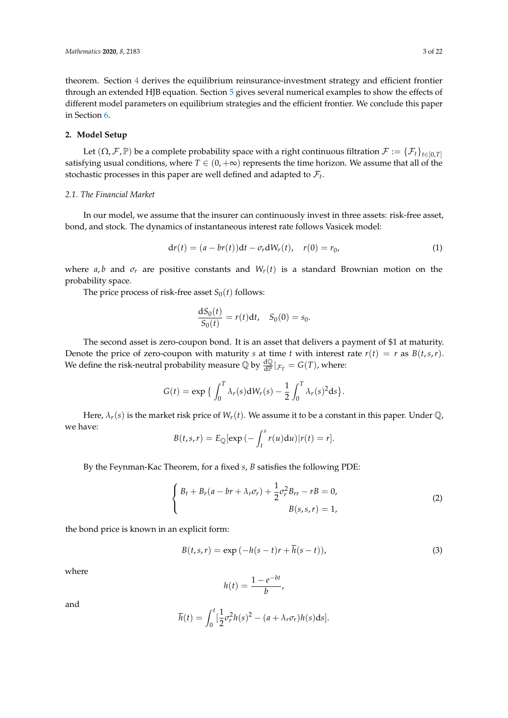theorem. Section [4](#page-6-0) derives the equilibrium reinsurance-investment strategy and efficient frontier through an extended HJB equation. Section [5](#page-14-0) gives several numerical examples to show the effects of different model parameters on equilibrium strategies and the efficient frontier. We conclude this paper in Section [6.](#page-16-0)

### <span id="page-2-0"></span>**2. Model Setup**

Let  $(\Omega, \mathcal{F}, \mathbb{P})$  be a complete probability space with a right continuous filtration  $\mathcal{F} := {\{\mathcal{F}_t\}}_{t \in [0, T]}$ satisfying usual conditions, where  $T \in (0, +\infty)$  represents the time horizon. We assume that all of the stochastic processes in this paper are well defined and adapted to  $\mathcal{F}_t$ .

## *2.1. The Financial Market*

In our model, we assume that the insurer can continuously invest in three assets: risk-free asset, bond, and stock. The dynamics of instantaneous interest rate follows Vasicek model:

<span id="page-2-1"></span>
$$
dr(t) = (a - br(t))dt - \sigma_r dW_r(t), \quad r(0) = r_0,
$$
 (1)

where *a*, *b* and  $\sigma_r$  are positive constants and  $W_r(t)$  is a standard Brownian motion on the probability space.

The price process of risk-free asset  $S_0(t)$  follows:

$$
\frac{dS_0(t)}{S_0(t)} = r(t)dt, \quad S_0(0) = s_0.
$$

The second asset is zero-coupon bond. It is an asset that delivers a payment of \$1 at maturity. Denote the price of zero-coupon with maturity *s* at time *t* with interest rate  $r(t) = r$  as  $B(t, s, r)$ . We define the risk-neutral probability measure  $\oint_{\mathbb{R}} \phi$  by  $\frac{d\mathbb{Q}}{d\mathbb{P}}|_{\mathcal{F}_T} = G(T)$ , where:

$$
G(t) = \exp \left\{ \int_0^T \lambda_r(s) dW_r(s) - \frac{1}{2} \int_0^T \lambda_r(s)^2 ds \right\}.
$$

Here,  $\lambda_r(s)$  is the market risk price of  $W_r(t)$ . We assume it to be a constant in this paper. Under  $\mathbb Q$ , we have:

$$
B(t,s,r) = E_{\mathbb{Q}}[\exp(-\int_t^s r(u) \mathrm{d}u)|r(t) = r].
$$

By the Feynman-Kac Theorem, for a fixed *s*, *B* satisfies the following PDE:

$$
\begin{cases} B_t + B_r(a - br + \lambda_r \sigma_r) + \frac{1}{2} \sigma_r^2 B_{rr} - rB = 0, \\ B(s, s, r) = 1, \end{cases}
$$
 (2)

the bond price is known in an explicit form:

$$
B(t,s,r) = \exp(-h(s-t)r + \overline{h}(s-t)),
$$
\n(3)

where

$$
h(t) = \frac{1 - e^{-bt}}{b},
$$

and

$$
\overline{h}(t) = \int_0^t \left[\frac{1}{2}\sigma_r^2 h(s)^2 - (a + \lambda_r \sigma_r)h(s)ds\right].
$$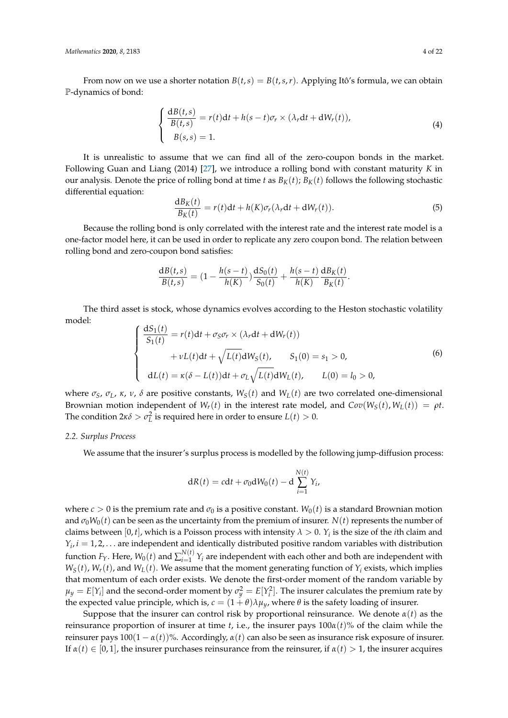From now on we use a shorter notation  $B(t, s) = B(t, s, r)$ . Applying Itô's formula, we can obtain P-dynamics of bond:

$$
\begin{cases}\n\frac{\mathrm{d}B(t,s)}{B(t,s)} = r(t)\mathrm{d}t + h(s-t)\sigma_r \times (\lambda_r \mathrm{d}t + \mathrm{d}W_r(t)),\\ \nB(s,s) = 1.\n\end{cases}
$$
\n(4)

It is unrealistic to assume that we can find all of the zero-coupon bonds in the market. Following Guan and Liang (2014) [\[27\]](#page-20-26), we introduce a rolling bond with constant maturity *K* in our analysis. Denote the price of rolling bond at time *t* as  $B_K(t)$ ;  $B_K(t)$  follows the following stochastic differential equation:

$$
\frac{dB_K(t)}{B_K(t)} = r(t)dt + h(K)\sigma_r(\lambda_r dt + dW_r(t)).
$$
\n(5)

Because the rolling bond is only correlated with the interest rate and the interest rate model is a one-factor model here, it can be used in order to replicate any zero coupon bond. The relation between rolling bond and zero-coupon bond satisfies:

$$
\frac{dB(t,s)}{B(t,s)} = (1 - \frac{h(s-t)}{h(K)}) \frac{dS_0(t)}{S_0(t)} + \frac{h(s-t)}{h(K)} \frac{dB_K(t)}{B_K(t)}.
$$

The third asset is stock, whose dynamics evolves according to the Heston stochastic volatility model:

<span id="page-3-1"></span>
$$
\begin{cases}\n\frac{dS_1(t)}{S_1(t)} = r(t)dt + \sigma_S \sigma_r \times (\lambda_r dt + dW_r(t)) \\
+ \nu L(t)dt + \sqrt{L(t)}dW_S(t), \quad S_1(0) = s_1 > 0, \\
dL(t) = \kappa(\delta - L(t))dt + \sigma_L \sqrt{L(t)}dW_L(t), \quad L(0) = l_0 > 0,\n\end{cases}
$$
\n(6)

where  $\sigma_S$ ,  $\sigma_L$ ,  $\kappa$ ,  $\nu$ ,  $\delta$  are positive constants,  $W_S(t)$  and  $W_L(t)$  are two correlated one-dimensional Brownian motion independent of  $W_r(t)$  in the interest rate model, and  $Cov(W_s(t), W_t(t)) = \rho t$ . The condition  $2\kappa\delta > \sigma_L^2$  is required here in order to ensure  $L(t) > 0$ .

#### *2.2. Surplus Process*

We assume that the insurer's surplus process is modelled by the following jump-diffusion process:

<span id="page-3-0"></span>
$$
dR(t) = cdt + \sigma_0 dW_0(t) - d \sum_{i=1}^{N(t)} Y_i,
$$

where  $c > 0$  is the premium rate and  $\sigma_0$  is a positive constant.  $W_0(t)$  is a standard Brownian motion and  $\sigma_0W_0(t)$  can be seen as the uncertainty from the premium of insurer.  $N(t)$  represents the number of claims between  $[0, t]$ , which is a Poisson process with intensity  $\lambda > 0$ .  $Y_i$  is the size of the *i*th claim and  $Y_i$ ,  $i = 1, 2, \ldots$  are independent and identically distributed positive random variables with distribution function  $F_Y$ . Here,  $W_0(t)$  and  $\sum_{i=1}^{N(t)}$  $\hat{Y}^{(v)}_{i=1}$   $Y_i$  are independent with each other and both are independent with  $W_S(t)$ ,  $W_r(t)$ , and  $W_L(t)$ . We assume that the moment generating function of  $Y_i$  exists, which implies that momentum of each order exists. We denote the first-order moment of the random variable by  $\mu_y = E[Y_i]$  and the second-order moment by  $\sigma_y^2 = E[Y_i^2]$ . The insurer calculates the premium rate by the expected value principle, which is,  $c = (1 + \theta)\lambda\mu_y$ , where  $\theta$  is the safety loading of insurer.

Suppose that the insurer can control risk by proportional reinsurance. We denote  $\alpha(t)$  as the reinsurance proportion of insurer at time *t*, i.e., the insurer pays  $100\alpha(t)$ % of the claim while the reinsurer pays  $100(1 - \alpha(t))$ %. Accordingly,  $\alpha(t)$  can also be seen as insurance risk exposure of insurer. If  $\alpha(t) \in [0,1]$ , the insurer purchases reinsurance from the reinsurer, if  $\alpha(t) > 1$ , the insurer acquires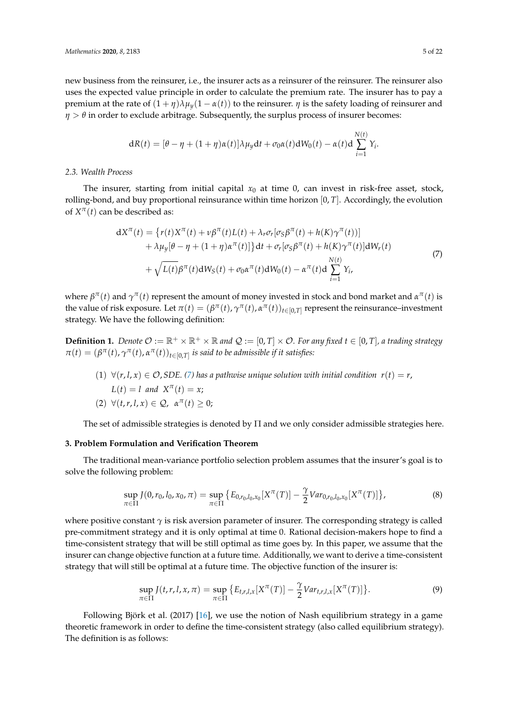new business from the reinsurer, i.e., the insurer acts as a reinsurer of the reinsurer. The reinsurer also uses the expected value principle in order to calculate the premium rate. The insurer has to pay a premium at the rate of (1 + *η*)*λµy*(1 − *α*(*t*)) to the reinsurer. *η* is the safety loading of reinsurer and *η* > *θ* in order to exclude arbitrage. Subsequently, the surplus process of insurer becomes:

$$
dR(t) = [\theta - \eta + (1 + \eta)\alpha(t)]\lambda\mu_y dt + \sigma_0 \alpha(t) dW_0(t) - \alpha(t) d\sum_{i=1}^{N(t)} Y_i.
$$

#### *2.3. Wealth Process*

The insurer, starting from initial capital  $x_0$  at time 0, can invest in risk-free asset, stock, rolling-bond, and buy proportional reinsurance within time horizon [0, *T*]. Accordingly, the evolution of  $X^{\pi}(t)$  can be described as:

$$
dX^{\pi}(t) = \{r(t)X^{\pi}(t) + \nu\beta^{\pi}(t)L(t) + \lambda_{r}\sigma_{r}[\sigma_{S}\beta^{\pi}(t) + h(K)\gamma^{\pi}(t)]+ \lambda\mu_{y}[\theta - \eta + (1 + \eta)\alpha^{\pi}(t)]\}dt + \sigma_{r}[\sigma_{S}\beta^{\pi}(t) + h(K)\gamma^{\pi}(t)]dW_{r}(t) + \sqrt{L(t)}\beta^{\pi}(t)dW_{S}(t) + \sigma_{0}\alpha^{\pi}(t)dW_{0}(t) - \alpha^{\pi}(t)d\sum_{i=1}^{N(t)} Y_{i},
$$
\n(7)

where  $\beta^{\pi}(t)$  and  $\gamma^{\pi}(t)$  represent the amount of money invested in stock and bond market and  $\alpha^{\pi}(t)$  is the value of risk exposure. Let  $\pi(t) = (\beta^{\pi}(t), \gamma^{\pi}(t), \alpha^{\pi}(t))_{t \in [0,T]}$  represent the reinsurance–investment strategy. We have the following definition:

<span id="page-4-2"></span>**Definition 1.** Denote  $\mathcal{O} := \mathbb{R}^+ \times \mathbb{R}^+ \times \mathbb{R}$  and  $\mathcal{Q} := [0, T] \times \mathcal{O}$ . For any fixed  $t \in [0, T]$ , a trading strategy  $\pi(t) = (\beta^{\pi}(t), \gamma^{\pi}(t), \alpha^{\pi}(t))_{t \in [0,T]}$  *is said to be admissible if it satisfies:* 

(1)  $\forall (r, l, x) \in \mathcal{O}$ , *SDE.* [\(7\)](#page-3-0) has a pathwise unique solution with initial condition  $r(t) = r$ ,  $L(t) = l$  and  $X^{\pi}(t) = x;$  $(2) \ \forall (t, r, l, x) \in \mathcal{Q}, \ \alpha^{\pi}(t) \geq 0;$ 

The set of admissible strategies is denoted by Π and we only consider admissible strategies here.

## <span id="page-4-0"></span>**3. Problem Formulation and Verification Theorem**

The traditional mean-variance portfolio selection problem assumes that the insurer's goal is to solve the following problem:

$$
\sup_{\pi \in \Pi} J(0, r_0, l_0, x_0, \pi) = \sup_{\pi \in \Pi} \left\{ E_{0, r_0, l_0, x_0} [X^{\pi}(T)] - \frac{\gamma}{2} Var_{0, r_0, l_0, x_0} [X^{\pi}(T)] \right\},
$$
\n(8)

where positive constant  $\gamma$  is risk aversion parameter of insurer. The corresponding strategy is called pre-commitment strategy and it is only optimal at time 0. Rational decision-makers hope to find a time-consistent strategy that will be still optimal as time goes by. In this paper, we assume that the insurer can change objective function at a future time. Additionally, we want to derive a time-consistent strategy that will still be optimal at a future time. The objective function of the insurer is:

<span id="page-4-1"></span>
$$
\sup_{\pi \in \Pi} J(t, r, l, x, \pi) = \sup_{\pi \in \Pi} \{ E_{t, r, l, x}[X^{\pi}(T)] - \frac{\gamma}{2} Var_{t, r, l, x}[X^{\pi}(T)] \}.
$$
\n(9)

Following Björk et al. (2017) [\[16\]](#page-20-15), we use the notion of Nash equilibrium strategy in a game theoretic framework in order to define the time-consistent strategy (also called equilibrium strategy). The definition is as follows: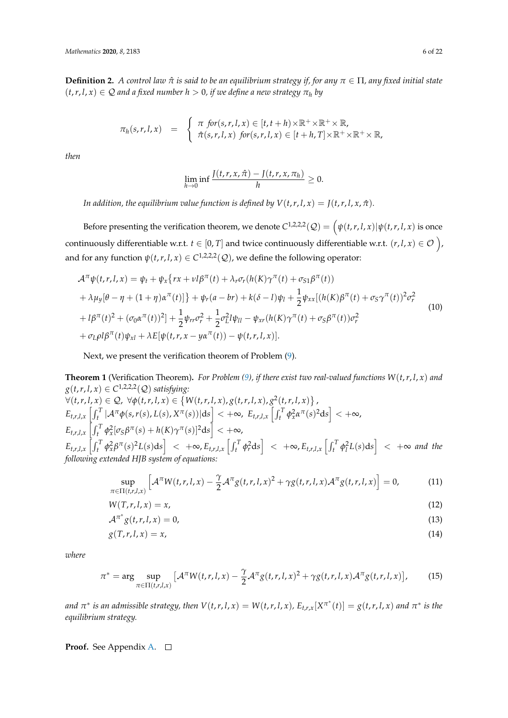<span id="page-5-3"></span>**Definition 2.** *A control law*  $\hat{\pi}$  *is said to be an equilibrium strategy if, for any*  $\pi \in \Pi$ *, any* fixed *initial state*  $(t, r, l, x) \in \mathcal{Q}$  *and a fixed number h > 0, if we define a new strategy*  $\pi_h$  *by* 

$$
\pi_h(s,r,l,x) = \begin{cases} \pi \text{ for } (s,r,l,x) \in [t,t+h) \times \mathbb{R}^+ \times \mathbb{R}^+ \times \mathbb{R}, \\ \hat{\pi}(s,r,l,x) \text{ for } (s,r,l,x) \in [t+h,T] \times \mathbb{R}^+ \times \mathbb{R}^+ \times \mathbb{R}, \end{cases}
$$

*then*

$$
\lim_{h\to 0}\inf\frac{J(t,r,x,\hat{\pi})-J(t,r,x,\pi_h)}{h}\geq 0.
$$

*In addition, the equilibrium value function is defined by*  $V(t, r, l, x) = J(t, r, l, x, \hat{\pi})$ *.* 

Before presenting the verification theorem, we denote  $C^{1,2,2,2}(\mathcal{Q}) = \left(\psi(t,r,l,x)|\psi(t,r,l,x)\right)$  is once continuously differentiable w.r.t.  $t \in [0,T]$  and twice continuously differentiable w.r.t.  $(r, l, x) \in \mathcal{O}$  ), and for any function  $\psi(t,r,l,x) \in C^{1,2,2,2}(\mathcal{Q})$ , we define the following operator:

$$
\mathcal{A}^{\pi}\psi(t,r,l,x) = \psi_t + \psi_x \{ rx + v l \beta^{\pi}(t) + \lambda_r \sigma_r(h(K)\gamma^{\pi}(t) + \sigma_{S1}\beta^{\pi}(t)) + \lambda \mu_y [\theta - \eta + (1 + \eta)\alpha^{\pi}(t)] \} + \psi_r(a - br) + k(\delta - l)\psi_l + \frac{1}{2} \psi_{xx} [(h(K)\beta^{\pi}(t) + \sigma_S\gamma^{\pi}(t))^2 \sigma_r^2 + l\beta^{\pi}(t)^2 + (\sigma_0\alpha^{\pi}(t))^2] + \frac{1}{2} \psi_{rr}\sigma_r^2 + \frac{1}{2} \sigma_L^2 l\psi_{ll} - \psi_{xr}(h(K)\gamma^{\pi}(t) + \sigma_S\beta^{\pi}(t)) \sigma_r^2 + \sigma_L \rho l\beta^{\pi}(t)\psi_{xl} + \lambda E[\psi(t,r,x - y\alpha^{\pi}(t)) - \psi(t,r,l,x)].
$$
\n(10)

Next, we present the verification theorem of Problem [\(9\)](#page-4-1).

<span id="page-5-0"></span>**Theorem 1** (Verification Theorem)**.** *For Problem [\(9\)](#page-4-1), if there exist two real-valued functions W*(*t*,*r*, *l*, *x*) *and*  $g(t,r,l,x)\in C^{1,2,2,2}(\mathcal{Q})$  *satisfying:*  $\forall (t,r,l,x) \in \mathcal{Q}, \ \forall \phi(t,r,l,x) \in \left\{W(t,r,l,x), g(t,r,l,x), g^2(t,r,l,x)\right\},$  $\mathbb{E}_{t,r,l,x}\left[\int_t^T|\mathcal{A}^\pi\phi(s,r(s),L(s),X^\pi(s))|\mathrm{d} s\right]<+\infty, \,\, \mathbb{E}_{t,r,l,x}\left[\int_t^T\phi^2_\mathbf{x}\alpha^\pi(s)^2\mathrm{d} s\right]<+\infty,$  $\mathbb{E}_{t,r,l,x}\left[\int_t^T \phi_x^2[\sigma_S\beta^\pi(s) + h(K)\gamma^\pi(s)]^2\mathrm{d}s\right] < +\infty,$  $E_{t,r,l,x}\left[\int_t^T \phi_x^2 \beta^{\pi}(s)^2 L(s)ds\right] < +\infty, E_{t,r,l,x}\left[\int_t^T \phi_r^2 ds\right] < +\infty, E_{t,r,l,x}\left[\int_t^T \phi_l^2 L(s)ds\right] < +\infty$  and the *following extended HJB system of equations:*

<span id="page-5-1"></span>
$$
\sup_{\pi \in \Pi(t,r,l,x)} \left[ \mathcal{A}^{\pi} W(t,r,l,x) - \frac{\gamma}{2} \mathcal{A}^{\pi} g(t,r,l,x)^2 + \gamma g(t,r,l,x) \mathcal{A}^{\pi} g(t,r,l,x) \right] = 0, \tag{11}
$$

<span id="page-5-2"></span>
$$
W(T,r,l,x) = x,\t\t(12)
$$

<span id="page-5-4"></span>
$$
\mathcal{A}^{\pi^*} g(t, r, l, x) = 0,\tag{13}
$$

$$
g(T,r,l,x) = x,\tag{14}
$$

*where*

$$
\pi^* = \arg \sup_{\pi \in \Pi(t,r,l,x)} \left[ \mathcal{A}^\pi W(t,r,l,x) - \frac{\gamma}{2} \mathcal{A}^\pi g(t,r,l,x)^2 + \gamma g(t,r,l,x) \mathcal{A}^\pi g(t,r,l,x) \right],\tag{15}
$$

and  $\pi^*$  is an admissible strategy, then  $V(t,r,l,x)=W(t,r,l,x)$ ,  $E_{t,r,x}[X^{\pi^*}(t)]=g(t,r,l,x)$  and  $\pi^*$  is the *equilibrium strategy.*

**Proof.** See Appendix [A.](#page-17-0)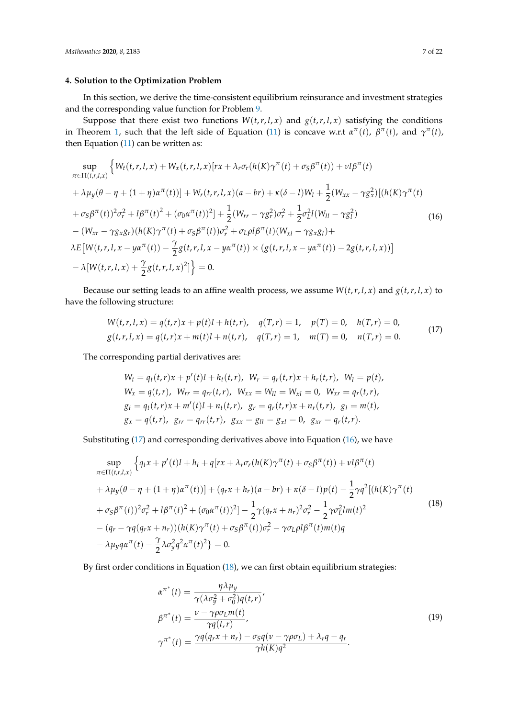## <span id="page-6-0"></span>**4. Solution to the Optimization Problem**

In this section, we derive the time-consistent equilibrium reinsurance and investment strategies and the corresponding value function for Problem [9.](#page-4-1)

Suppose that there exist two functions  $W(t, r, l, x)$  and  $g(t, r, l, x)$  satisfying the conditions in Theorem [1,](#page-5-0) such that the left side of Equation [\(11\)](#page-5-1) is concave w.r.t  $\alpha^{\pi}(t)$ ,  $\beta^{\pi}(t)$ , and  $\gamma^{\pi}(t)$ , then Equation  $(11)$  can be written as:

<span id="page-6-2"></span>
$$
\sup_{\pi \in \Pi(t,r,l,x)} \left\{ W_t(t,r,l,x) + W_x(t,r,l,x)[rx + \lambda_r \sigma_r(h(K)\gamma^{\pi}(t) + \sigma_S \beta^{\pi}(t)) + \nu l \beta^{\pi}(t) \right. \\ \left. + \lambda \mu_y(\theta - \eta + (1 + \eta)\alpha^{\pi}(t))] + W_r(t,r,l,x)(a - br) + \kappa(\delta - l)W_l + \frac{1}{2}(W_{xx} - \gamma g_x^2)[(h(K)\gamma^{\pi}(t) + \sigma_S \beta^{\pi}(t))^2 \sigma_r^2 + l \beta^{\pi}(t)^2 + (\sigma_0 \alpha^{\pi}(t))^2] + \frac{1}{2}(W_{rr} - \gamma g_r^2) \sigma_r^2 + \frac{1}{2} \sigma_L^2 l(W_{ll} - \gamma g_l^2) \\ - (W_{xr} - \gamma g_x g_r)(h(K)\gamma^{\pi}(t) + \sigma_S \beta^{\pi}(t)) \sigma_r^2 + \sigma_L \rho l \beta^{\pi}(t)(W_{xl} - \gamma g_x g_l) + \lambda E[W(t,r,l,x - y\alpha^{\pi}(t)) - \frac{\gamma}{2}g(t,r,l,x - y\alpha^{\pi}(t)) \times (g(t,r,l,x - y\alpha^{\pi}(t)) - 2g(t,r,l,x))] \\ - \lambda [W(t,r,l,x) + \frac{\gamma}{2}g(t,r,l,x)^2] \Big\} = 0.
$$
\n(16)

Because our setting leads to an affine wealth process, we assume  $W(t, r, l, x)$  and  $g(t, r, l, x)$  to have the following structure:

$$
W(t,r,l,x) = q(t,r)x + p(t)l + h(t,r), q(T,r) = 1, p(T) = 0, h(T,r) = 0,
$$
  
\n
$$
g(t,r,l,x) = q(t,r)x + m(t)l + n(t,r), q(T,r) = 1, m(T) = 0, n(T,r) = 0.
$$
\n(17)

<span id="page-6-3"></span><span id="page-6-1"></span>The corresponding partial derivatives are:

$$
W_t = q_t(t, r)x + p'(t)l + h_t(t, r), W_r = q_r(t, r)x + h_r(t, r), W_l = p(t),
$$
  
\n
$$
W_x = q(t, r), W_{rr} = q_{rr}(t, r), W_{xx} = W_{ll} = W_{xl} = 0, W_{xr} = q_r(t, r),
$$
  
\n
$$
g_t = q_t(t, r)x + m'(t)l + n_t(t, r), g_r = q_r(t, r)x + n_r(t, r), g_l = m(t),
$$
  
\n
$$
g_x = q(t, r), g_{rr} = q_{rr}(t, r), g_{xx} = g_{ll} = g_{xl} = 0, g_{xr} = q_r(t, r).
$$

Substituting [\(17\)](#page-6-1) and corresponding derivatives above into Equation [\(16\)](#page-6-2), we have

$$
\sup_{\pi \in \Pi(t,r,l,x)} \left\{ q_t x + p'(t)l + h_t + q[rx + \lambda_r \sigma_r(h(K)\gamma^\pi(t) + \sigma_S \beta^\pi(t)) + \nu l \beta^\pi(t) + \lambda \mu_y(\theta - \eta + (1 + \eta)\alpha^\pi(t))] + (q_r x + h_r)(a - br) + \kappa(\delta - l)p(t) - \frac{1}{2}\gamma q^2 [(h(K)\gamma^\pi(t) + \sigma_S \beta^\pi(t))^2 \sigma_r^2 + l \beta^\pi(t)^2 + (\sigma_0 \alpha^\pi(t))^2] - \frac{1}{2}\gamma (q_r x + n_r)^2 \sigma_r^2 - \frac{1}{2}\gamma \sigma_L^2 lm(t)^2 - (q_r - \gamma q (q_r x + n_r)) (h(K)\gamma^\pi(t) + \sigma_S \beta^\pi(t)) \sigma_r^2 - \gamma \sigma_L \rho l \beta^\pi(t)m(t)q - \lambda \mu_y q \alpha^\pi(t) - \frac{\gamma}{2} \lambda \sigma_y^2 q^2 \alpha^\pi(t)^2 \right\} = 0.
$$
\n
$$
(18)
$$

<span id="page-6-4"></span>By first order conditions in Equation [\(18\)](#page-6-3), we can first obtain equilibrium strategies:

$$
\alpha^{\pi^*}(t) = \frac{\eta \lambda \mu_y}{\gamma(\lambda \sigma_y^2 + \sigma_0^2) q(t, r)},
$$
  
\n
$$
\beta^{\pi^*}(t) = \frac{\nu - \gamma \rho \sigma_L m(t)}{\gamma q(t, r)},
$$
  
\n
$$
\gamma^{\pi^*}(t) = \frac{\gamma q(q_r x + n_r) - \sigma_S q(\nu - \gamma \rho \sigma_L) + \lambda_r q - q_r}{\gamma h(K) q^2}.
$$
\n(19)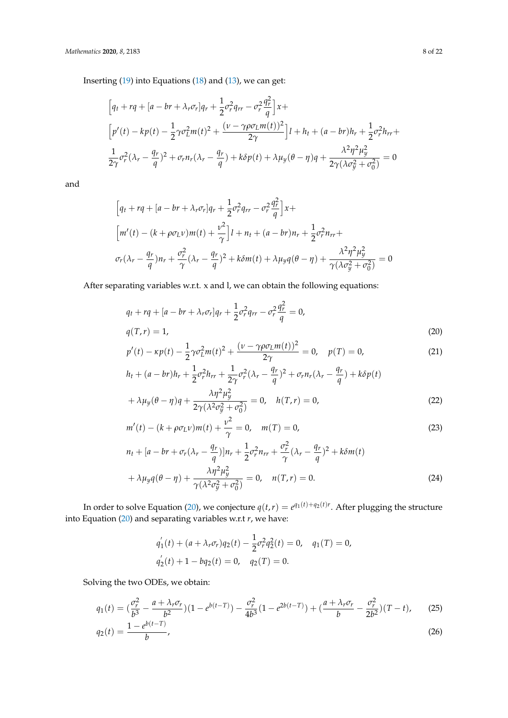Inserting [\(19\)](#page-6-4) into Equations [\(18\)](#page-6-3) and [\(13\)](#page-5-2), we can get:

<span id="page-7-0"></span>
$$
\[q_t + rq + [a - br + \lambda_r \sigma_r]q_r + \frac{1}{2}\sigma_r^2 q_{rr} - \sigma_r^2 \frac{q_r^2}{q}\]x +
$$
\n
$$
\[p'(t) - kp(t) - \frac{1}{2}\gamma \sigma_L^2 m(t)^2 + \frac{(\nu - \gamma \rho \sigma_L m(t))^2}{2\gamma}\]l + h_t + (a - br)h_r + \frac{1}{2}\sigma_r^2 h_{rr} +
$$
\n
$$
\frac{1}{2\gamma}\sigma_r^2 (\lambda_r - \frac{q_r}{q})^2 + \sigma_r n_r (\lambda_r - \frac{q_r}{q}) + k\delta p(t) + \lambda \mu_y (\theta - \eta)q + \frac{\lambda^2 \eta^2 \mu_y^2}{2\gamma (\lambda \sigma_y^2 + \sigma_0^2)} = 0
$$

and

$$
\[q_t + rq + [a - br + \lambda_r \sigma_r]q_r + \frac{1}{2}\sigma_r^2 q_{rr} - \sigma_r^2 \frac{q_r^2}{q}\]x +
$$
  

$$
\[m'(t) - (k + \rho \sigma_L \nu)m(t) + \frac{\nu^2}{\gamma}\]l + n_t + (a - br)n_r + \frac{1}{2}\sigma_r^2 n_{rr} +
$$
  

$$
\sigma_r(\lambda_r - \frac{q_r}{q})n_r + \frac{\sigma_r^2}{\gamma}(\lambda_r - \frac{q_r}{q})^2 + k\delta m(t) + \lambda\mu_y q(\theta - \eta) + \frac{\lambda^2 \eta^2 \mu_y^2}{\gamma(\lambda \sigma_y^2 + \sigma_0^2)} = 0
$$

After separating variables w.r.t. x and l, we can obtain the following equations:

$$
q_t + rq + [a - br + \lambda_r \sigma_r]q_r + \frac{1}{2}\sigma_r^2 q_{rr} - \sigma_r^2 \frac{q_r^2}{q} = 0,
$$
  
\n
$$
q(T, r) = 1,
$$
  
\n
$$
p'(t) - \kappa p(t) - \frac{1}{2}\gamma \sigma_L^2 m(t)^2 + \frac{(\nu - \gamma \rho \sigma_L m(t))^2}{2\gamma} = 0, \quad p(T) = 0,
$$
\n(21)

<span id="page-7-1"></span>
$$
h_t + (a - br)h_r + \frac{1}{2}\sigma_r^2 h_{rr} + \frac{1}{2\gamma}\sigma_r^2 (\lambda_r - \frac{q_r}{q})^2 + \sigma_r n_r (\lambda_r - \frac{q_r}{q}) + k\delta p(t)
$$
  
+  $\lambda \mu_y (\theta - \eta)q + \frac{\lambda \eta^2 \mu_y^2}{2\gamma (\lambda^2 \sigma_y^2 + \sigma_0^2)} = 0, \quad h(T, r) = 0,$  (22)

<span id="page-7-3"></span>
$$
m'(t) - (k + \rho \sigma_L \nu) m(t) + \frac{\nu^2}{\gamma} = 0, \quad m(T) = 0,
$$
\n(23)

$$
n_t + [a - br + \sigma_r(\lambda_r - \frac{q_r}{q})]n_r + \frac{1}{2}\sigma_r^2 n_{rr} + \frac{\sigma_r^2}{\gamma}(\lambda_r - \frac{q_r}{q})^2 + k\delta m(t)
$$
  
+  $\lambda \mu_y q(\theta - \eta) + \frac{\lambda \eta^2 \mu_y^2}{\gamma(\lambda^2 \sigma_y^2 + \sigma_0^2)} = 0, \quad n(T, r) = 0.$  (24)

In order to solve Equation [\(20\)](#page-7-0), we conjecture  $q(t,r) = e^{q_1(t) + q_2(t)r}$ . After plugging the structure into Equation [\(20\)](#page-7-0) and separating variables w.r.t *r*, we have:

<span id="page-7-6"></span><span id="page-7-5"></span><span id="page-7-4"></span><span id="page-7-2"></span>
$$
q'_1(t) + (a + \lambda_r \sigma_r)q_2(t) - \frac{1}{2}\sigma_r^2 q_2^2(t) = 0, \quad q_1(T) = 0,
$$
  

$$
q'_2(t) + 1 - bq_2(t) = 0, \quad q_2(T) = 0.
$$

Solving the two ODEs, we obtain:

$$
q_1(t) = \left(\frac{\sigma_r^2}{b^3} - \frac{a + \lambda_r \sigma_r}{b^2}\right)(1 - e^{b(t-T)}) - \frac{\sigma_r^2}{4b^3}(1 - e^{2b(t-T)}) + \left(\frac{a + \lambda_r \sigma_r}{b} - \frac{\sigma_r^2}{2b^2}\right)(T - t),\tag{25}
$$

$$
q_2(t) = \frac{1 - e^{b(t-T)}}{b},\tag{26}
$$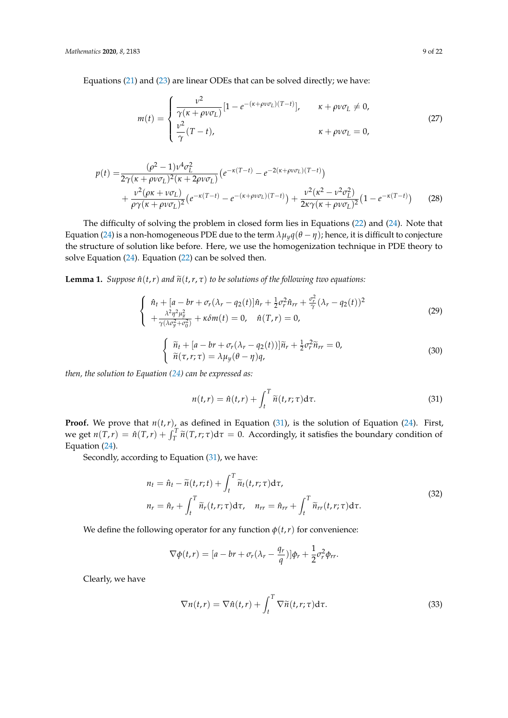Equations [\(21\)](#page-7-1) and [\(23\)](#page-7-2) are linear ODEs that can be solved directly; we have:

<span id="page-8-5"></span><span id="page-8-4"></span>
$$
m(t) = \begin{cases} \frac{\nu^2}{\gamma(\kappa + \rho\nu\sigma_L)} [1 - e^{-(\kappa + \rho\nu\sigma_L)(T - t)}], & \kappa + \rho\nu\sigma_L \neq 0, \\ \frac{\nu^2}{\gamma}(T - t), & \kappa + \rho\nu\sigma_L = 0, \end{cases}
$$
(27)

$$
p(t) = \frac{(\rho^2 - 1)\nu^4 \sigma_L^2}{2\gamma(\kappa + \rho\nu\sigma_L)^2(\kappa + 2\rho\nu\sigma_L)} \left( e^{-\kappa(T - t)} - e^{-2(\kappa + \rho\nu\sigma_L)(T - t)} \right) + \frac{\nu^2(\rho\kappa + \nu\sigma_L)}{\rho\gamma(\kappa + \rho\nu\sigma_L)^2} \left( e^{-\kappa(T - t)} - e^{-(\kappa + \rho\nu\sigma_L)(T - t)} \right) + \frac{\nu^2(\kappa^2 - \nu^2 \sigma_L^2)}{2\kappa\gamma(\kappa + \rho\nu\sigma_L)^2} \left( 1 - e^{-\kappa(T - t)} \right) \tag{28}
$$

The difficulty of solving the problem in closed form lies in Equations [\(22\)](#page-7-3) and [\(24\)](#page-7-4). Note that Equation [\(24\)](#page-7-4) is a non-homogeneous PDE due to the term  $\lambda \mu_y q(\theta - \eta)$ ; hence, it is difficult to conjecture the structure of solution like before. Here, we use the homogenization technique in PDE theory to solve Equation [\(24\)](#page-7-4). Equation [\(22\)](#page-7-3) can be solved then.

**Lemma 1.** *Suppose*  $\hat{n}(t,r)$  *and*  $\tilde{n}(t,r,\tau)$  *to be solutions of the following two equations:* 

<span id="page-8-1"></span>
$$
\begin{cases}\n\hat{n}_t + [a - br + \sigma_r(\lambda_r - q_2(t)]\hat{n}_r + \frac{1}{2}\sigma_r^2\hat{n}_{rr} + \frac{\sigma_r^2}{\gamma}(\lambda_r - q_2(t))^2 \\
+\frac{\lambda^2\eta^2\mu_y^2}{\gamma(\lambda\sigma_y^2 + \sigma_0^2)} + \kappa\delta m(t) = 0, \quad \hat{n}(T, r) = 0,\n\end{cases}
$$
\n(29)

<span id="page-8-2"></span>
$$
\begin{cases} \n\tilde{n}_t + [a - br + \sigma_r(\lambda_r - q_2(t))] \tilde{n}_r + \frac{1}{2} \sigma_r^2 \tilde{n}_{rr} = 0, \\
\tilde{n}(\tau, r; \tau) = \lambda \mu_y (\theta - \eta) q,\n\end{cases} \n(30)
$$

*then, the solution to Equation [\(24\)](#page-7-4) can be expressed as:*

<span id="page-8-0"></span>
$$
n(t,r) = \hat{n}(t,r) + \int_{t}^{T} \widetilde{n}(t,r;\tau) d\tau.
$$
 (31)

**Proof.** We prove that  $n(t, r)$ , as defined in Equation [\(31\)](#page-8-0), is the solution of Equation [\(24\)](#page-7-4). First, we get  $n(T,r) = \hat{n}(T,r) + \int_T^T \tilde{n}(T,r;\tau)d\tau = 0$ . Accordingly, it satisfies the boundary condition of Equation [\(24\)](#page-7-4).

<span id="page-8-3"></span>Secondly, according to Equation [\(31\)](#page-8-0), we have:

$$
n_t = \hat{n}_t - \tilde{n}(t, r; t) + \int_t^T \tilde{n}_t(t, r; \tau) d\tau,
$$
  
\n
$$
n_r = \hat{n}_r + \int_t^T \tilde{n}_r(t, r; \tau) d\tau, \quad n_{rr} = \hat{n}_{rr} + \int_t^T \tilde{n}_{rr}(t, r; \tau) d\tau.
$$
\n(32)

We define the following operator for any function  $\phi(t,r)$  for convenience:

$$
\nabla \phi(t,r) = [a - br + \sigma_r(\lambda_r - \frac{q_r}{q})] \phi_r + \frac{1}{2} \sigma_r^2 \phi_{rr}.
$$

Clearly, we have

$$
\nabla n(t,r) = \nabla \hat{n}(t,r) + \int_{t}^{T} \nabla \widetilde{n}(t,r;\tau) d\tau.
$$
 (33)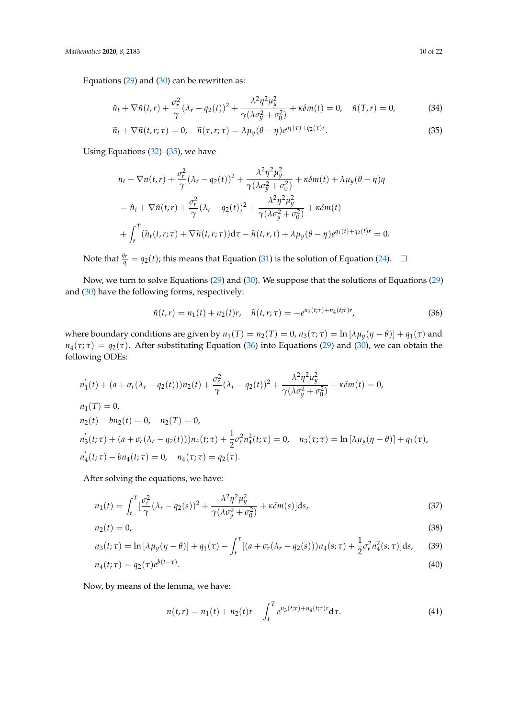Equations  $(29)$  and  $(30)$  can be rewritten as:

$$
\hat{n}_t + \nabla \hat{n}(t, r) + \frac{\sigma_r^2}{\gamma} (\lambda_r - q_2(t))^2 + \frac{\lambda^2 \eta^2 \mu_y^2}{\gamma (\lambda \sigma_y^2 + \sigma_0^2)} + \kappa \delta m(t) = 0, \quad \hat{n}(T, r) = 0,
$$
 (34)

$$
\widetilde{n}_t + \nabla \widetilde{n}(t, r; \tau) = 0, \quad \widetilde{n}(\tau, r; \tau) = \lambda \mu_y(\theta - \eta) e^{q_1(\tau) + q_2(\tau)r}.
$$
\n(35)

Using Equations [\(32\)](#page-8-3)–[\(35\)](#page-9-0), we have

<span id="page-9-0"></span>
$$
n_t + \nabla n(t,r) + \frac{\sigma_r^2}{\gamma} (\lambda_r - q_2(t))^2 + \frac{\lambda^2 \eta^2 \mu_y^2}{\gamma (\lambda \sigma_y^2 + \sigma_0^2)} + \kappa \delta m(t) + \lambda \mu_y (\theta - \eta) q
$$
  
=  $\hat{n}_t + \nabla \hat{n}(t,r) + \frac{\sigma_r^2}{\gamma} (\lambda_r - q_2(t))^2 + \frac{\lambda^2 \eta^2 \mu_y^2}{\gamma (\lambda \sigma_y^2 + \sigma_0^2)} + \kappa \delta m(t)$   
+  $\int_t^T (\tilde{n}_t(t,r;\tau) + \nabla \tilde{n}(t,r;\tau)) d\tau - \tilde{n}(t,r,t) + \lambda \mu_y (\theta - \eta) e^{q_1(t) + q_2(t)r} = 0.$ 

Note that  $\frac{q_r}{q} = q_2(t)$ ; this means that Equation [\(31\)](#page-8-0) is the solution of Equation [\(24\)](#page-7-4).

Now, we turn to solve Equations [\(29\)](#page-8-1) and [\(30\)](#page-8-2). We suppose that the solutions of Equations [\(29\)](#page-8-1) and [\(30\)](#page-8-2) have the following forms, respectively:

<span id="page-9-1"></span>
$$
\hat{n}(t,r) = n_1(t) + n_2(t)r, \quad \tilde{n}(t,r;\tau) = -e^{n_3(t;\tau) + n_4(t;\tau)r}, \tag{36}
$$

where boundary conditions are given by  $n_1(T) = n_2(T) = 0$ ,  $n_3(\tau; \tau) = \ln[\lambda \mu_y(\eta - \theta)] + q_1(\tau)$  and  $n_4(\tau;\tau) = q_2(\tau)$ . After substituting Equation [\(36\)](#page-9-1) into Equations [\(29\)](#page-8-1) and [\(30\)](#page-8-2), we can obtain the following ODEs:

$$
n'_1(t) + (a + \sigma_r(\lambda_r - q_2(t)))n_2(t) + \frac{\sigma_r^2}{\gamma}(\lambda_r - q_2(t))^2 + \frac{\lambda^2 \eta^2 \mu_y^2}{\gamma(\lambda \sigma_y^2 + \sigma_0^2)} + \kappa \delta m(t) = 0,
$$
  
\n
$$
n_1(T) = 0,
$$
  
\n
$$
n_2(t) - b n_2(t) = 0, \quad n_2(T) = 0,
$$
  
\n
$$
n'_3(t; \tau) + (a + \sigma_r(\lambda_r - q_2(t)))n_4(t; \tau) + \frac{1}{2}\sigma_r^2 n_4^2(t; \tau) = 0, \quad n_3(\tau; \tau) = \ln[\lambda \mu_y(\eta - \theta)] + q_1(\tau),
$$
  
\n
$$
n'_4(t; \tau) - b n_4(t; \tau) = 0, \quad n_4(\tau; \tau) = q_2(\tau).
$$

After solving the equations, we have:

$$
n_1(t) = \int_t^T \left[\frac{\sigma_r^2}{\gamma} (\lambda_r - q_2(s))^2 + \frac{\lambda^2 \eta^2 \mu_y^2}{\gamma (\lambda \sigma_y^2 + \sigma_0^2)} + \kappa \delta m(s)\right] ds,
$$
\n(37)

$$
n_2(t) = 0,\t\t(38)
$$

$$
n_3(t;\tau) = \ln \left[ \lambda \mu_y(\eta - \theta) \right] + q_1(\tau) - \int_t^{\tau} \left[ (a + \sigma_r(\lambda_r - q_2(s))) n_4(s;\tau) + \frac{1}{2} \sigma_r^2 n_4^2(s;\tau) \right] ds,\tag{39}
$$

$$
n_4(t; \tau) = q_2(\tau) e^{b(t-\tau)}.
$$
\n(40)

Now, by means of the lemma, we have:

<span id="page-9-5"></span><span id="page-9-4"></span><span id="page-9-3"></span><span id="page-9-2"></span>
$$
n(t,r) = n_1(t) + n_2(t)r - \int_t^T e^{n_3(t;\tau) + n_4(t;\tau)r} d\tau.
$$
 (41)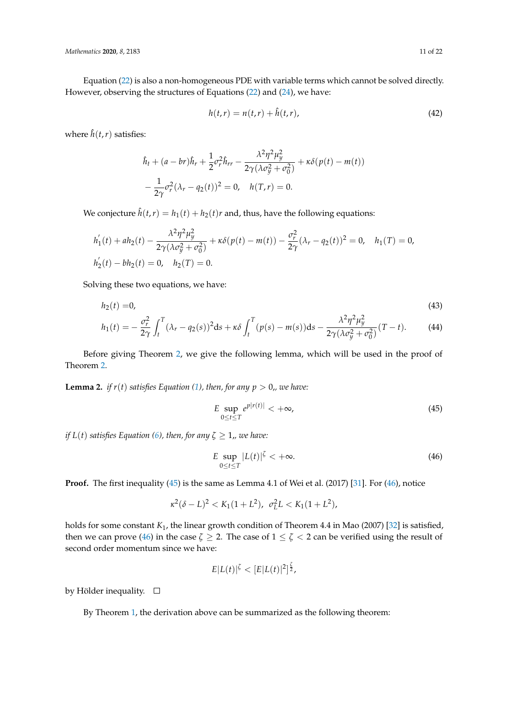Equation [\(22\)](#page-7-3) is also a non-homogeneous PDE with variable terms which cannot be solved directly. However, observing the structures of Equations [\(22\)](#page-7-3) and [\(24\)](#page-7-4), we have:

<span id="page-10-2"></span>
$$
h(t,r) = n(t,r) + \hat{h}(t,r),
$$
\n(42)

where  $\hat{h}(t,r)$  satisfies:

$$
\hat{h}_t + (a - br)\hat{h}_r + \frac{1}{2}\sigma_r^2 \hat{h}_{rr} - \frac{\lambda^2 \eta^2 \mu_y^2}{2\gamma(\lambda \sigma_y^2 + \sigma_0^2)} + \kappa \delta(p(t) - m(t))
$$

$$
-\frac{1}{2\gamma}\sigma_r^2 (\lambda_r - q_2(t))^2 = 0, \quad h(T, r) = 0.
$$

We conjecture  $\hat{h}(t,r) = h_1(t) + h_2(t)r$  and, thus, have the following equations:

$$
h'_1(t) + ah_2(t) - \frac{\lambda^2 \eta^2 \mu_y^2}{2\gamma(\lambda \sigma_y^2 + \sigma_0^2)} + \kappa \delta(p(t) - m(t)) - \frac{\sigma_r^2}{2\gamma}(\lambda_r - q_2(t))^2 = 0, \quad h_1(T) = 0,
$$
  

$$
h'_2(t) - bh_2(t) = 0, \quad h_2(T) = 0.
$$

Solving these two equations, we have:

$$
h_2(t) = 0,
$$
\n
$$
h_1(t) = -\frac{\sigma_r^2}{2\gamma} \int_t^T (\lambda_r - q_2(s))^2 ds + \kappa \delta \int_t^T (p(s) - m(s)) ds - \frac{\lambda^2 \eta^2 \mu_y^2}{2\gamma (\lambda \sigma_y^2 + \sigma_0^2)} (T - t).
$$
\n(44)

Before giving Theorem [2,](#page-11-0) we give the following lemma, which will be used in the proof of Theorem [2.](#page-11-0)

<span id="page-10-3"></span>**Lemma 2.** *if*  $r(t)$  *satisfies Equation [\(1\)](#page-2-1), then, for any*  $p > 0$ *,, we have:* 

<span id="page-10-4"></span><span id="page-10-0"></span>
$$
E \sup_{0 \le t \le T} e^{p|r(t)|} < +\infty,\tag{45}
$$

*if*  $L(t)$  *satisfies Equation [\(6\)](#page-3-1), then, for any*  $\zeta \geq 1$ *,, we have:* 

<span id="page-10-1"></span>
$$
E \sup_{0 \le t \le T} |L(t)|^{\zeta} < +\infty. \tag{46}
$$

**Proof.** The first inequality [\(45\)](#page-10-0) is the same as Lemma 4.1 of Wei et al. (2017) [\[31\]](#page-21-3). For [\(46\)](#page-10-1), notice

$$
\kappa^2(\delta - L)^2 < K_1(1 + L^2), \ \sigma_L^2 L < K_1(1 + L^2),
$$

holds for some constant *K*1, the linear growth condition of Theorem 4.4 in Mao (2007) [\[32\]](#page-21-4) is satisfied, then we can prove [\(46\)](#page-10-1) in the case  $\zeta \geq 2$ . The case of  $1 \leq \zeta < 2$  can be verified using the result of second order momentum since we have:

$$
E|L(t)|^{\zeta} < [E|L(t)|^2]^{\frac{\zeta}{2}},
$$

by Hölder inequality.  $\square$ 

By Theorem [1,](#page-5-0) the derivation above can be summarized as the following theorem: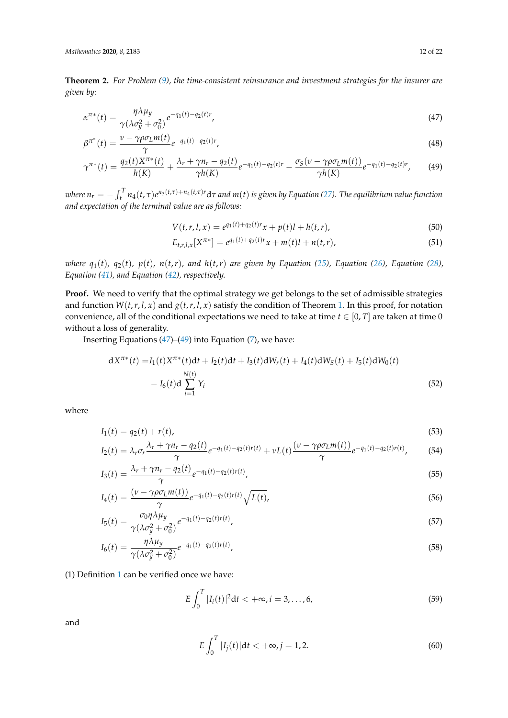<span id="page-11-0"></span>**Theorem 2.** *For Problem [\(9\)](#page-4-1), the time-consistent reinsurance and investment strategies for the insurer are given by:*

$$
\alpha^{\pi*}(t) = \frac{\eta \lambda \mu_y}{\gamma (\lambda \sigma_y^2 + \sigma_0^2)} e^{-q_1(t) - q_2(t)r},
$$
\n(47)

$$
\beta^{\pi^*}(t) = \frac{\nu - \gamma \rho \sigma_L m(t)}{\gamma} e^{-q_1(t) - q_2(t)r},
$$
\n(48)

$$
\gamma^{\pi*}(t) = \frac{q_2(t)X^{\pi*}(t)}{h(K)} + \frac{\lambda_r + \gamma n_r - q_2(t)}{\gamma h(K)} e^{-q_1(t) - q_2(t)r} - \frac{\sigma_S(\nu - \gamma \rho \sigma_L m(t))}{\gamma h(K)} e^{-q_1(t) - q_2(t)r}, \tag{49}
$$

where  $n_r=-\int_t^T n_4(t,\tau)e^{n_3(t,\tau)+n_4(t,\tau)r}d\tau$  and  $m(t)$  is given by Equation [\(27\)](#page-8-4). The equilibrium value function *and expectation of the terminal value are as follows:*

<span id="page-11-4"></span><span id="page-11-3"></span><span id="page-11-2"></span><span id="page-11-1"></span>
$$
V(t,r,l,x) = e^{q_1(t) + q_2(t)r}x + p(t)l + h(t,r),
$$
\n(50)

$$
E_{t,r,l,x}[X^{\pi*}] = e^{q_1(t)+q_2(t)r}x + m(t)l + n(t,r),
$$
\n(51)

where  $q_1(t)$ ,  $q_2(t)$ ,  $p(t)$ ,  $n(t,r)$ , and  $h(t,r)$  are given by Equation [\(25\)](#page-7-5), Equation [\(26\)](#page-7-6), Equation [\(28\)](#page-8-5), *Equation [\(41\)](#page-9-2), and Equation [\(42\)](#page-10-2), respectively.*

Proof. We need to verify that the optimal strategy we get belongs to the set of admissible strategies and function  $W(t, r, l, x)$  and  $g(t, r, l, x)$  satisfy the condition of Theorem [1.](#page-5-0) In this proof, for notation convenience, all of the conditional expectations we need to take at time  $t \in [0, T]$  are taken at time 0 without a loss of generality.

Inserting Equations  $(47)$ – $(49)$  into Equation  $(7)$ , we have:

$$
dX^{\pi*}(t) = I_1(t)X^{\pi*}(t)dt + I_2(t)dt + I_3(t)dW_r(t) + I_4(t)dW_S(t) + I_5(t)dW_0(t)
$$
  

$$
- I_6(t)d\sum_{i=1}^{N(t)} Y_i
$$
 (52)

where

$$
I_1(t) = q_2(t) + r(t),
$$
\n(53)

$$
I_2(t) = \lambda_r \sigma_r \frac{\lambda_r + \gamma n_r - q_2(t)}{\gamma} e^{-q_1(t) - q_2(t)r(t)} + \nu L(t) \frac{(\nu - \gamma \rho \sigma_L m(t))}{\gamma} e^{-q_1(t) - q_2(t)r(t)},
$$
(54)

$$
I_3(t) = \frac{\lambda_r + \gamma n_r - q_2(t)}{\gamma} e^{-q_1(t) - q_2(t)r(t)},
$$
\n(55)

$$
I_4(t) = \frac{(\nu - \gamma \rho \sigma_L m(t))}{\gamma} e^{-q_1(t) - q_2(t)r(t)} \sqrt{L(t)},
$$
\n(56)

$$
I_5(t) = \frac{\sigma_0 \eta \lambda \mu_y}{\gamma (\lambda \sigma_y^2 + \sigma_0^2)} e^{-q_1(t) - q_2(t)r(t)},
$$
\n
$$
(57)
$$

$$
I_6(t) = \frac{\eta \lambda \mu_y}{\gamma (\lambda \sigma_y^2 + \sigma_0^2)} e^{-q_1(t) - q_2(t)r(t)},
$$
\n(58)

(1) Definition [1](#page-4-2) can be verified once we have:

$$
E\int_0^T |I_i(t)|^2 dt < +\infty, i = 3, ..., 6,
$$
\n(59)

and

$$
E\int_0^T |I_j(t)|dt < +\infty, j = 1, 2.
$$
\n(60)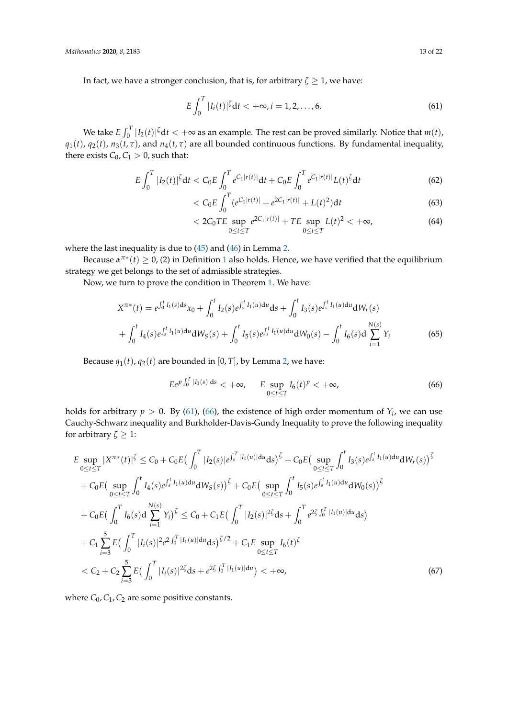In fact, we have a stronger conclusion, that is, for arbitrary  $\zeta \geq 1$ , we have:

<span id="page-12-0"></span>
$$
E\int_0^T |I_i(t)|^{\zeta} dt < +\infty, i = 1, 2, ..., 6.
$$
 (61)

We take  $E \int_0^T |I_2(t)|^{\zeta} dt < +\infty$  as an example. The rest can be proved similarly. Notice that  $m(t)$ ,  $q_1(t)$ ,  $q_2(t)$ ,  $n_3(t, \tau)$ , and  $n_4(t, \tau)$  are all bounded continuous functions. By fundamental inequality, there exists  $C_0$ ,  $C_1 > 0$ , such that:

$$
E\int_0^T |I_2(t)|^{\zeta} dt < C_0 E \int_0^T e^{C_1 |r(t)|} dt + C_0 E \int_0^T e^{C_1 |r(t)|} L(t)^{\zeta} dt \tag{62}
$$

$$
\langle C_0 E \int_0^T (e^{C_1 |r(t)|} + e^{2C_1 |r(t)|} + L(t)^2) \mathrm{d}t \tag{63}
$$

$$
< 2C_0TE \sup_{0 \le t \le T} e^{2C_1|r(t)|} + TE \sup_{0 \le t \le T} L(t)^2 < +\infty,
$$
 (64)

where the last inequality is due to [\(45\)](#page-10-0) and [\(46\)](#page-10-1) in Lemma [2.](#page-10-3)

Because  $\alpha^{\pi*}(t) \geq 0$ , (2) in Definition [1](#page-4-2) also holds. Hence, we have verified that the equilibrium strategy we get belongs to the set of admissible strategies.

Now, we turn to prove the condition in Theorem [1.](#page-5-0) We have:

$$
X^{\pi*}(t) = e^{\int_0^t I_1(s)ds} x_0 + \int_0^t I_2(s)e^{\int_s^t I_1(u)du} ds + \int_0^t I_3(s)e^{\int_s^t I_1(u)du} dW_r(s)
$$
  
+ 
$$
\int_0^t I_4(s)e^{\int_s^t I_1(u)du} dW_S(s) + \int_0^t I_5(s)e^{\int_s^t I_1(u)du} dW_0(s) - \int_0^t I_6(s)d\sum_{i=1}^{N(s)} Y_i
$$
(65)

Because  $q_1(t)$ ,  $q_2(t)$  are bounded in [0, *T*], by Lemma [2,](#page-10-3) we have:

<span id="page-12-2"></span><span id="page-12-1"></span>
$$
E e^{p \int_0^T |I_1(s)| ds} < +\infty, \qquad E \sup_{0 \le t \le T} I_6(t)^p < +\infty,
$$
 (66)

holds for arbitrary  $p > 0$ . By [\(61\)](#page-12-0), [\(66\)](#page-12-1), the existence of high order momentum of  $Y_i$ , we can use Cauchy-Schwarz inequality and Burkholder-Davis-Gundy Inequality to prove the following inequality for arbitrary  $\zeta \geq 1$ :

$$
E \sup_{0 \le t \le T} |X^{\pi*}(t)|^{\zeta} \le C_0 + C_0 E \big( \int_0^T |I_2(s)| e^{\int_s^T |I_1(u)| du} ds \big)^{\zeta} + C_0 E \big( \sup_{0 \le t \le T} \int_0^t I_3(s) e^{\int_s^t I_1(u) du} dW_r(s) \big)^{\zeta}
$$
  
+  $C_0 E \big( \sup_{0 \le t \le T} \int_0^t I_4(s) e^{\int_s^t I_1(u) du} dW_S(s) \big)^{\zeta} + C_0 E \big( \sup_{0 \le t \le T} \int_0^t I_5(s) e^{\int_s^t I_1(u) du} dW_0(s) \big)^{\zeta}$   
+  $C_0 E \big( \int_0^T I_6(s) d \sum_{i=1}^{N(s)} Y_i \big)^{\zeta} \le C_0 + C_1 E \big( \int_0^T |I_2(s)|^{2\zeta} ds + \int_0^T e^{2\zeta \int_0^T |I_1(u)| du} ds \big)$   
+  $C_1 \sum_{i=3}^5 E \big( \int_0^T |I_i(s)|^{2} e^{2 \int_0^T |I_1(u)| du} ds \big)^{\zeta/2} + C_1 E \sup_{0 \le t \le T} I_6(t)^{\zeta}$   
<  $C_2 + C_2 \sum_{i=3}^5 E \big( \int_0^T |I_i(s)|^{2\zeta} ds + e^{2\zeta \int_0^T |I_1(u)| du} \big) < +\infty,$  (67)

where  $C_0$ ,  $C_1$ ,  $C_2$  are some positive constants.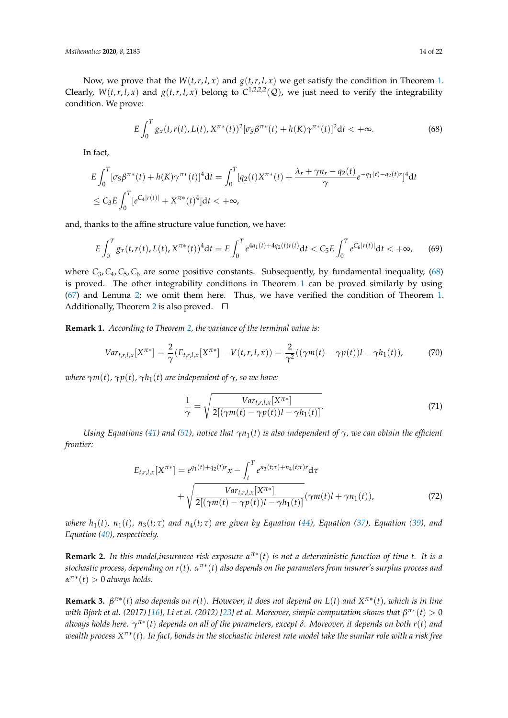Now, we prove that the  $W(t, r, l, x)$  and  $g(t, r, l, x)$  we get satisfy the condition in Theorem [1.](#page-5-0) Clearly,  $W(t,r,l,x)$  and  $g(t,r,l,x)$  belong to  $C^{1,2,2,2}(\mathcal{Q})$ , we just need to verify the integrability condition. We prove:

<span id="page-13-0"></span>
$$
E\int_0^T g_x(t, r(t), L(t), X^{\pi*}(t))^2 [\sigma_S \beta^{\pi*}(t) + h(K)\gamma^{\pi*}(t)]^2 dt < +\infty.
$$
 (68)

In fact,

$$
E\int_0^T [\sigma_S \beta^{\pi*}(t) + h(K)\gamma^{\pi*}(t)]^4 dt = \int_0^T [q_2(t)X^{\pi*}(t) + \frac{\lambda_r + \gamma n_r - q_2(t)}{\gamma} e^{-q_1(t) - q_2(t)r}]^4 dt
$$
  
\n
$$
\leq C_3 E \int_0^T [e^{C_4|r(t)|} + X^{\pi*}(t)^4] dt < +\infty,
$$

and, thanks to the affine structure value function, we have:

$$
E\int_0^T g_x(t, r(t), L(t), X^{\pi*}(t))^4 dt = E\int_0^T e^{4q_1(t) + 4q_2(t)r(t)} dt < C_5 E \int_0^T e^{C_6|r(t)|} dt < +\infty,
$$
 (69)

where  $C_3$ ,  $C_4$ ,  $C_5$ ,  $C_6$  are some positive constants. Subsequently, by fundamental inequality, [\(68\)](#page-13-0) is proved. The other integrability conditions in Theorem [1](#page-5-0) can be proved similarly by using [\(67\)](#page-12-2) and Lemma [2;](#page-10-3) we omit them here. Thus, we have verified the condition of Theorem [1.](#page-5-0) Additionally, Theorem [2](#page-11-0) is also proved.  $\Box$ 

**Remark 1.** *According to Theorem [2,](#page-11-0) the variance of the terminal value is:*

$$
Var_{t,r,l,x}[X^{\pi*}] = \frac{2}{\gamma}(E_{t,r,l,x}[X^{\pi*}] - V(t,r,l,x)) = \frac{2}{\gamma^2}((\gamma m(t) - \gamma p(t))l - \gamma h_1(t)),
$$
 (70)

*where*  $\gamma m(t)$ *,*  $\gamma p(t)$ *,*  $\gamma h_1(t)$  *are independent of*  $\gamma$ *, so we have:* 

<span id="page-13-1"></span>
$$
\frac{1}{\gamma} = \sqrt{\frac{Var_{t,r,l,x}[X^{\pi*}]}{2[(\gamma m(t) - \gamma p(t))l - \gamma h_1(t)]}}.
$$
\n(71)

*Using Equations [\(41\)](#page-9-2)* and [\(51\)](#page-11-3), notice that  $\gamma n_1(t)$  is also independent of  $\gamma$ , we can obtain the efficient *frontier:*

$$
E_{t,r,l,x}[X^{\pi*}] = e^{q_1(t) + q_2(t)r}x - \int_t^T e^{n_3(t)\tau} + \sqrt{\frac{Var_{t,r,l,x}[X^{\pi*}]}{2[(\gamma m(t) - \gamma p(t))] - \gamma h_1(t)]}} (\gamma m(t) + \gamma n_1(t)),
$$
\n(72)

where  $h_1(t)$ ,  $n_1(t)$ ,  $n_3(t; \tau)$  and  $n_4(t; \tau)$  are given by Equation [\(44\)](#page-10-4), Equation [\(37\)](#page-9-3), Equation [\(39\)](#page-9-4), and *Equation [\(40\)](#page-9-5), respectively.*

**Remark 2.** *In this model,insurance risk exposure α π*∗ (*t*) *is not a deterministic function of time t. It is a stochastic process, depending on r*(*t*)*. α π*∗ (*t*) *also depends on the parameters from insurer's surplus process and α π*∗ (*t*) > 0 *always holds.*

**Remark 3.** *β π*∗ (*t*) *also depends on r*(*t*)*. However, it does not depend on L*(*t*) *and X π*∗ (*t*)*, which is in line with Björk et al. (2017) [\[16\]](#page-20-15), Li et al. (2012) [\[23\]](#page-20-22) et al. Moreover, simple computation shows that*  $\beta^{\pi*}(t) > 0$ *always holds here. γ π*∗ (*t*) *depends on all of the parameters, except δ. Moreover, it depends on both r*(*t*) *and wealth process X π*∗ (*t*)*. In fact, bonds in the stochastic interest rate model take the similar role with a risk free*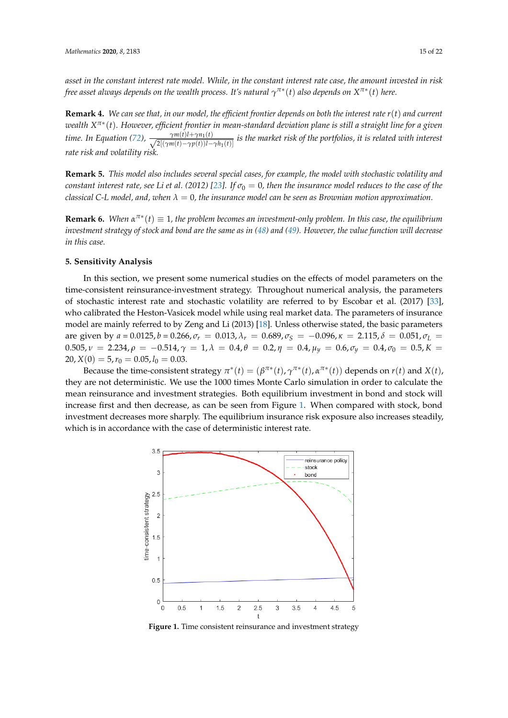*asset in the constant interest rate model. While, in the constant interest rate case, the amount invested in risk free asset always depends on the wealth process. It's natural*  $\gamma^{\pi*}(t)$  *also depends on*  $X^{\pi*}(t)$  *here.* 

**Remark 4.** *We can see that, in our model, the efficient frontier depends on both the interest rate r*(*t*) *and current wealth X π*∗ (*t*)*. However, efficient frontier in mean-standard deviation plane is still a straight line for a given time. In Equation [\(72\)](#page-13-1)*,  $\cdot$ (*t*)  $\frac{\gamma m(t)\mu + \gamma n_1(t)}{2[(\gamma m(t)-\gamma p(t))l-\gamma h_1(t)]}$  is the market risk of the portfolios, it is related with interest *rate risk and volatility risk.*

**Remark 5.** *This model also includes several special cases, for example, the model with stochastic volatility and constant interest rate, see Li et al.* (2012) [\[23\]](#page-20-22). If  $\sigma_0 = 0$ , then the insurance model reduces to the case of the *classical C-L model, and, when λ* = 0*, the insurance model can be seen as Brownian motion approximation.*

**Remark 6.** When  $\alpha^{\pi*}(t) \equiv 1$ , the problem becomes an investment-only problem. In this case, the equilibrium *investment strategy of stock and bond are the same as in [\(48\)](#page-11-4) and [\(49\)](#page-11-2). However, the value function will decrease in this case.*

#### <span id="page-14-0"></span>**5. Sensitivity Analysis**

In this section, we present some numerical studies on the effects of model parameters on the time-consistent reinsurance-investment strategy. Throughout numerical analysis, the parameters of stochastic interest rate and stochastic volatility are referred to by Escobar et al. (2017) [\[33\]](#page-21-5), who calibrated the Heston-Vasicek model while using real market data. The parameters of insurance model are mainly referred to by Zeng and Li (2013) [\[18\]](#page-20-17). Unless otherwise stated, the basic parameters are given by  $a = 0.0125$ ,  $b = 0.266$ ,  $\sigma_r = 0.013$ ,  $\lambda_r = 0.689$ ,  $\sigma_s = -0.096$ ,  $\kappa = 2.115$ ,  $\delta = 0.051$ ,  $\sigma_l = 0.051$  $0.505, ν = 2.234, ρ = −0.514, γ = 1, λ = 0.4, θ = 0.2, η = 0.4, μ<sub>γ</sub> = 0.6, σ<sub>γ</sub> = 0.4, σ<sub>0</sub> = 0.5, K = 0.5, Ω = 0.5, θ = 0.5, θ = 0.5, θ = 0.5, θ = 0.5, θ = 0.5, θ = 0.5, θ = 0.5, θ = 0.5, θ = 0.5, θ = 0.5, θ = 0.5, θ = 0.5, θ = 0.5, θ =$  $20, X(0) = 5, r_0 = 0.05, l_0 = 0.03.$ 

<span id="page-14-1"></span>Because the time-consistent strategy  $\pi^*(t) = (\beta^{\pi^*}(t), \gamma^{\pi^*}(t), \alpha^{\pi^*}(t))$  depends on  $r(t)$  and  $X(t)$ , they are not deterministic. We use the 1000 times Monte Carlo simulation in order to calculate the mean reinsurance and investment strategies. Both equilibrium investment in bond and stock will increase first and then decrease, as can be seen from Figure [1.](#page-14-1) When compared with stock, bond investment decreases more sharply. The equilibrium insurance risk exposure also increases steadily, which is in accordance with the case of deterministic interest rate.



**Figure 1.** Time consistent reinsurance and investment strategy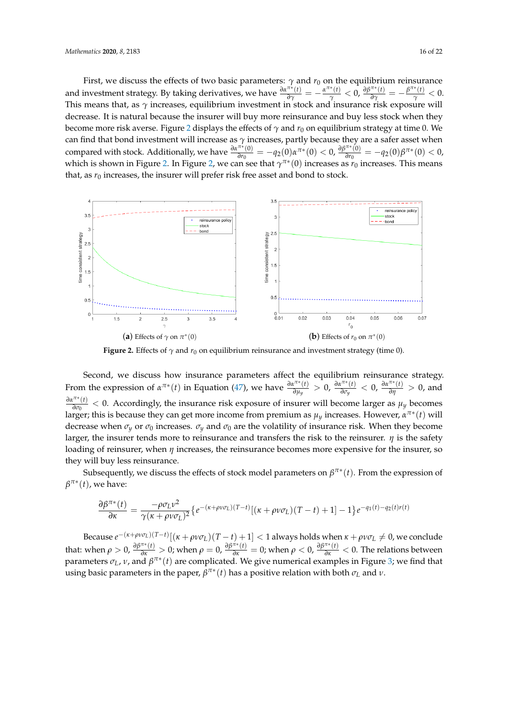First, we discuss the effects of two basic parameters:  $\gamma$  and  $r_0$  on the equilibrium reinsurance and investment strategy. By taking derivatives, we have  $\frac{\partial \alpha^{\pi*}(t)}{\partial \gamma} = -\frac{\alpha^{\pi*}(t)}{\gamma} < 0$ ,  $\frac{\partial \beta^{\pi*}(t)}{\partial \gamma} = -\frac{\beta^{\pi*}(t)}{\gamma} < 0$ . This means that, as *γ* increases, equilibrium investment in stock and insurance risk exposure will decrease. It is natural because the insurer will buy more reinsurance and buy less stock when they become more risk averse. Figure [2](#page-15-0) displays the effects of  $\gamma$  and  $r_0$  on equilibrium strategy at time 0. We can find that bond investment will increase as *γ* increases, partly because they are a safer asset when compared with stock. Additionally, we have  $\frac{\partial \alpha^{\pi *} (0)}{\partial r_0}$  $\frac{\pi*(0)}{\theta r_0} = -q_2(0) \alpha^{\pi*(0)} < 0, \frac{\partial \beta^{\pi*(0)}}{\partial r_0}$  $\frac{\partial \tilde{r}(0)}{\partial r_0} = -q_2(0)\beta^{\pi*}(0) < 0,$ which is shown in Figure [2.](#page-15-0) In Figure [2,](#page-15-0) we can see that  $\gamma^{\pi*}(0)$  increases as  $r_0$  increases. This means that, as  $r_0$  increases, the insurer will prefer risk free asset and bond to stock.

<span id="page-15-0"></span>

**Figure 2.** Effects of  $\gamma$  and  $r_0$  on equilibrium reinsurance and investment strategy (time 0).

Second, we discuss how insurance parameters affect the equilibrium reinsurance strategy. From the expression of  $\alpha^{\pi*}(t)$  in Equation [\(47\)](#page-11-1), we have  $\frac{\partial \alpha^{\pi*}(t)}{\partial u_u}$  $\frac{\partial \alpha^{\pi*}(t)}{\partial \mu_y} > 0$ ,  $\frac{\partial \alpha^{\pi*}(t)}{\partial \sigma_y}$  $\frac{d^{7*}(t)}{d\sigma_y}$  < 0,  $\frac{d\alpha^{7*}(t)}{d\eta}$  > 0, and *∂απ*<sup>∗</sup> (*t*)  $\frac{\partial u}{\partial \sigma_0}$  < 0. Accordingly, the insurance risk exposure of insurer will become larger as  $\mu_y$  becomes larger; this is because they can get more income from premium as  $\mu_y$  increases. However,  $\alpha^{\pi*}(t)$  will decrease when  $\sigma_y$  or  $\sigma_0$  increases.  $\sigma_y$  and  $\sigma_0$  are the volatility of insurance risk. When they become larger, the insurer tends more to reinsurance and transfers the risk to the reinsurer. *η* is the safety loading of reinsurer, when *η* increases, the reinsurance becomes more expensive for the insurer, so they will buy less reinsurance.

Subsequently, we discuss the effects of stock model parameters on *β π*∗ (*t*). From the expression of  $\beta^{\pi*}(t)$ , we have:

$$
\frac{\partial \beta^{\pi*}(t)}{\partial \kappa} = \frac{-\rho \sigma_L v^2}{\gamma(\kappa + \rho v \sigma_L)^2} \left\{ e^{-(\kappa + \rho v \sigma_L)(T-t)} \left[ (\kappa + \rho v \sigma_L)(T-t) + 1 \right] - 1 \right\} e^{-q_1(t) - q_2(t) r(t)}
$$

 $\beta$  Because  $e^{-(\kappa + \rho\nu\sigma_L)(T-t)}[(\kappa + \rho\nu\sigma_L)(T-t)+1] < 1$  always holds when  $\kappa + \rho\nu\sigma_L \neq 0$ , we conclude that: when  $\rho > 0$ ,  $\frac{\partial \beta^{\pi*}(t)}{\partial \kappa} > 0$ ; when  $\rho = 0$ ,  $\frac{\partial \beta^{\pi*}(t)}{\partial \kappa} = 0$ ; when  $\rho < 0$ ,  $\frac{\partial \beta^{\pi*}(t)}{\partial \kappa} < 0$ . The relations between parameters  $\sigma_L$ , *v*, and  $\beta^{\pi*}(t)$  are complicated. We give numerical examples in Figure [3;](#page-16-1) we find that using basic parameters in the paper,  $\beta^{\pi*}(t)$  has a positive relation with both  $\sigma_L$  and  $\nu$ .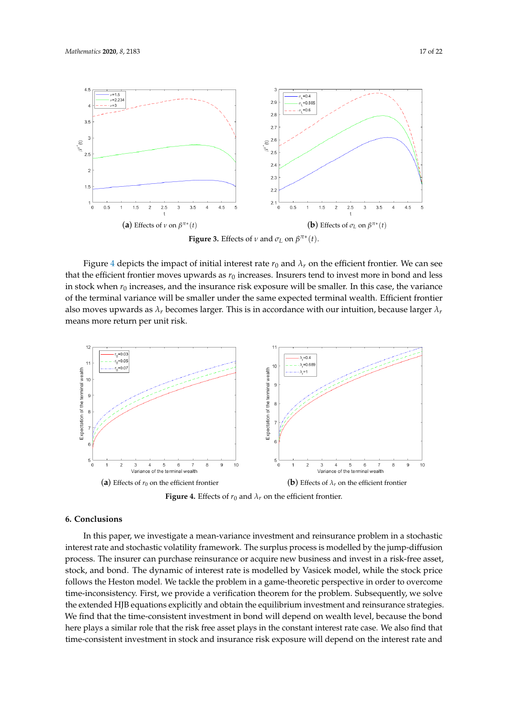<span id="page-16-1"></span>

Figure [4](#page-16-2) depicts the impact of initial interest rate  $r_0$  and  $\lambda_r$  on the efficient frontier. We can see that the efficient frontier moves upwards as  $r_0$  increases. Insurers tend to invest more in bond and less in stock when  $r_0$  increases, and the insurance risk exposure will be smaller. In this case, the variance of the terminal variance will be smaller under the same expected terminal wealth. Efficient frontier also moves upwards as *λr* becomes larger. This is in accordance with our intuition, because larger *λr* means more return per unit risk.

<span id="page-16-2"></span>

**Figure 4.** Effects of  $r_0$  and  $\lambda_r$  on the efficient frontier.

## <span id="page-16-0"></span>**6. Conclusions**

In this paper, we investigate a mean-variance investment and reinsurance problem in a stochastic interest rate and stochastic volatility framework. The surplus process is modelled by the jump-diffusion process. The insurer can purchase reinsurance or acquire new business and invest in a risk-free asset, stock, and bond. The dynamic of interest rate is modelled by Vasicek model, while the stock price follows the Heston model. We tackle the problem in a game-theoretic perspective in order to overcome time-inconsistency. First, we provide a verification theorem for the problem. Subsequently, we solve the extended HJB equations explicitly and obtain the equilibrium investment and reinsurance strategies. We find that the time-consistent investment in bond will depend on wealth level, because the bond here plays a similar role that the risk free asset plays in the constant interest rate case. We also find that time-consistent investment in stock and insurance risk exposure will depend on the interest rate and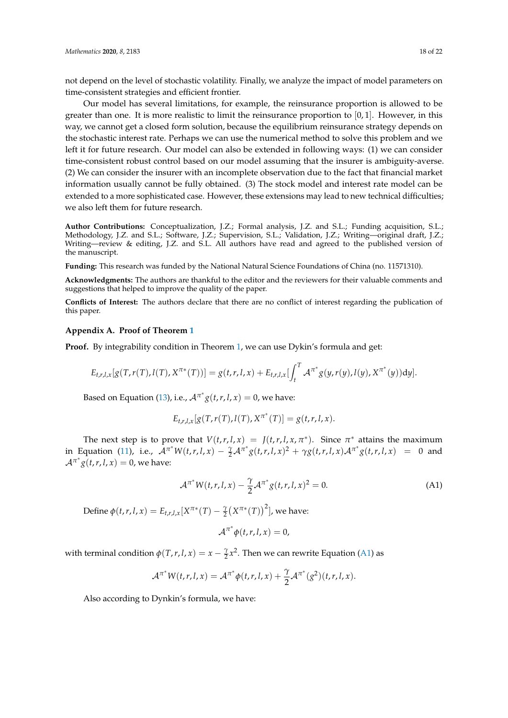not depend on the level of stochastic volatility. Finally, we analyze the impact of model parameters on time-consistent strategies and efficient frontier.

Our model has several limitations, for example, the reinsurance proportion is allowed to be greater than one. It is more realistic to limit the reinsurance proportion to  $[0, 1]$ . However, in this way, we cannot get a closed form solution, because the equilibrium reinsurance strategy depends on the stochastic interest rate. Perhaps we can use the numerical method to solve this problem and we left it for future research. Our model can also be extended in following ways: (1) we can consider time-consistent robust control based on our model assuming that the insurer is ambiguity-averse. (2) We can consider the insurer with an incomplete observation due to the fact that financial market information usually cannot be fully obtained. (3) The stock model and interest rate model can be extended to a more sophisticated case. However, these extensions may lead to new technical difficulties; we also left them for future research.

**Author Contributions:** Conceptualization, J.Z.; Formal analysis, J.Z. and S.L.; Funding acquisition, S.L.; Methodology, J.Z. and S.L.; Software, J.Z.; Supervision, S.L.; Validation, J.Z.; Writing—original draft, J.Z.; Writing—review & editing, J.Z. and S.L. All authors have read and agreed to the published version of the manuscript.

**Funding:** This research was funded by the National Natural Science Foundations of China (no. 11571310).

**Acknowledgments:** The authors are thankful to the editor and the reviewers for their valuable comments and suggestions that helped to improve the quality of the paper.

**Conflicts of Interest:** The authors declare that there are no conflict of interest regarding the publication of this paper.

### <span id="page-17-0"></span>**Appendix A. Proof of Theorem [1](#page-5-0)**

**Proof.** By integrability condition in Theorem [1,](#page-5-0) we can use Dykin's formula and get:

$$
E_{t,r,l,x}[g(T,r(T),l(T),X^{\pi*}(T))] = g(t,r,l,x) + E_{t,r,l,x}[\int_t^T \mathcal{A}^{\pi^*}g(y,r(y),l(y),X^{\pi^*}(y))dy].
$$

Based on Equation [\(13\)](#page-5-2), i.e.,  $A^{\pi^*} g(t, r, l, x) = 0$ , we have:

$$
E_{t,r,l,x}[g(T,r(T),l(T),X^{\pi^*}(T)]=g(t,r,l,x).
$$

The next step is to prove that  $V(t,r,l,x) = J(t,r,l,x,\pi^*)$ . Since  $\pi^*$  attains the maximum in Equation [\(11\)](#page-5-1), i.e.,  $A^{\pi^*}W(t,r,l,x) - \frac{\gamma}{2}A^{\pi^*}g(t,r,l,x)^2 + \gamma g(t,r,l,x)A^{\pi^*}g(t,r,l,x) = 0$  and  $\mathcal{A}^{\pi^*} g(t,r,l,x) = 0$ , we have:

$$
\mathcal{A}^{\pi^*} W(t, r, l, x) - \frac{\gamma}{2} \mathcal{A}^{\pi^*} g(t, r, l, x)^2 = 0.
$$
 (A1)

<span id="page-17-1"></span>Define  $\phi(t, r, l, x) = E_{t, r, l, x}[X^{\pi*}(T) - \frac{\gamma}{2}(X^{\pi*}(T))^{2}]$ , we have:

$$
\mathcal{A}^{\pi^*}\phi(t,r,l,x)=0,
$$

with terminal condition  $\phi(T, r, l, x) = x - \frac{\gamma}{2}x^2$ . Then we can rewrite Equation [\(A1\)](#page-17-1) as

$$
\mathcal{A}^{\pi^*} W(t,r,l,x) = \mathcal{A}^{\pi^*} \phi(t,r,l,x) + \frac{\gamma}{2} \mathcal{A}^{\pi^*}(g^2)(t,r,l,x).
$$

Also according to Dynkin's formula, we have: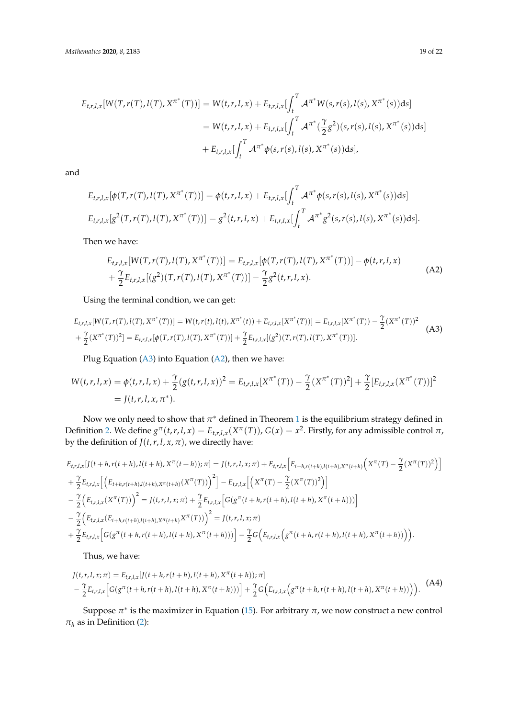<span id="page-18-1"></span>
$$
E_{t,r,l,x}[W(T,r(T),l(T),X^{\pi^*}(T))] = W(t,r,l,x) + E_{t,r,l,x}[\int_t^T \mathcal{A}^{\pi^*}W(s,r(s),l(s),X^{\pi^*}(s))ds]
$$
  

$$
= W(t,r,l,x) + E_{t,r,l,x}[\int_t^T \mathcal{A}^{\pi^*}(\frac{\gamma}{2}g^2)(s,r(s),l(s),X^{\pi^*}(s))ds]
$$
  

$$
+ E_{t,r,l,x}[\int_t^T \mathcal{A}^{\pi^*}\phi(s,r(s),l(s),X^{\pi^*}(s))ds],
$$

and

$$
E_{t,r,l,x}[\phi(T,r(T),l(T),X^{\pi^*}(T))] = \phi(t,r,l,x) + E_{t,r,l,x}[\int_t^T \mathcal{A}^{\pi^*}\phi(s,r(s),l(s),X^{\pi^*}(s))ds]
$$
  

$$
E_{t,r,l,x}[g^2(T,r(T),l(T),X^{\pi^*}(T))] = g^2(t,r,l,x) + E_{t,r,l,x}[\int_t^T \mathcal{A}^{\pi^*}g^2(s,r(s),l(s),X^{\pi^*}(s))ds].
$$

Then we have:

$$
E_{t,r,l,x}[W(T,r(T),l(T),X^{\pi^*}(T))] = E_{t,r,l,x}[\phi(T,r(T),l(T),X^{\pi^*}(T))] - \phi(t,r,l,x)
$$
  
+  $\frac{\gamma}{2}E_{t,r,l,x}[(g^2)(T,r(T),l(T),X^{\pi^*}(T))] - \frac{\gamma}{2}g^2(t,r,l,x).$  (A2)

Using the terminal condtion, we can get:

<span id="page-18-0"></span>
$$
E_{t,r,l,x}[W(T,r(T),l(T),X^{\pi^*}(T))] = W(t,r(t),l(t),X^{\pi^*}(t)) + E_{t,r,l,x}[X^{\pi^*}(T))] = E_{t,r,l,x}[X^{\pi^*}(T)) - \frac{\gamma}{2}(X^{\pi^*}(T))^2
$$
  
+  $\frac{\gamma}{2}(X^{\pi^*}(T))^2] = E_{t,r,l,x}[\phi(T,r(T),l(T),X^{\pi^*}(T))] + \frac{\gamma}{2}E_{t,r,l,x}[(g^2)(T,r(T),l(T),X^{\pi^*}(T))].$  (A3)

Plug Equation [\(A3\)](#page-18-0) into Equation [\(A2\)](#page-18-1), then we have:

<span id="page-18-2"></span>
$$
W(t,r,l,x) = \phi(t,r,l,x) + \frac{\gamma}{2} (g(t,r,l,x))^2 = E_{t,r,l,x}[X^{\pi^*}(T)) - \frac{\gamma}{2} (X^{\pi^*}(T))^2] + \frac{\gamma}{2} [E_{t,r,l,x}(X^{\pi^*}(T))]^2
$$
  
=  $J(t,r,l,x,\pi^*).$ 

Now we only need to show that  $\pi^*$  defined in Theorem [1](#page-5-0) is the equilibrium strategy defined in Definition [2.](#page-5-3) We define  $g^{\pi}(t,r,l,x) = E_{t,r,l,x}(X^{\pi}(T))$ ,  $G(x) = x^2$ . Firstly, for any admissible control  $\pi$ , by the definition of  $J(t, r, l, x, \pi)$ , we directly have:

$$
E_{t,r,l,x}[J(t+h,r(t+h),I(t+h),X^{\pi}(t+h));\pi] = J(t,r,l,x;\pi) + E_{t,r,l,x}\Big[E_{t+h,r(t+h),I(t+h),X^{\pi}(t+h)}\Big(X^{\pi}(T) - \frac{\gamma}{2}(X^{\pi}(T))^2\Big)\Big] + \frac{\gamma}{2}E_{t,r,l,x}\Big[\Big(E_{t+h,r(t+h),I(t+h),X^{\pi}(t+h)}(X^{\pi}(T))\Big)^2\Big] - E_{t,r,l,x}\Big[\Big(X^{\pi}(T) - \frac{\gamma}{2}(X^{\pi}(T))^2\Big)\Big] -\frac{\gamma}{2}\Big(E_{t,r,l,x}(X^{\pi}(T))\Big)^2 = J(t,r,l,x;\pi) + \frac{\gamma}{2}E_{t,r,l,x}\Big[G(g^{\pi}(t+h,r(t+h),I(t+h),X^{\pi}(t+h)))\Big] -\frac{\gamma}{2}\Big(E_{t,r,l,x}(E_{t+h,r(t+h),I(t+h),X^{\pi}(t+h)}(X^{\pi}(T))\Big)^2 = J(t,r,l,x;\pi) + \frac{\gamma}{2}E_{t,r,l,x}\Big[G(g^{\pi}(t+h,r(t+h),I(t+h),X^{\pi}(t+h)))\Big] - \frac{\gamma}{2}G\Big(E_{t,r,l,x}\Big(g^{\pi}(t+h,r(t+h),I(t+h),X^{\pi}(t+h)))\Big).
$$

Thus, we have:

$$
J(t,r,l,x;\pi) = E_{t,r,l,x}[J(t+h,r(t+h),l(t+h),X^{\pi}(t+h));\pi] - \frac{\gamma}{2}E_{t,r,l,x}\Big[G(g^{\pi}(t+h,r(t+h),l(t+h),X^{\pi}(t+h)))\Big] + \frac{\gamma}{2}G\Big(E_{t,r,l,x}\Big(g^{\pi}(t+h,r(t+h),l(t+h),X^{\pi}(t+h)))\Big).
$$
 (A4)

Suppose  $\pi^*$  is the maximizer in Equation [\(15\)](#page-5-4). For arbitrary  $\pi$ , we now construct a new control  $\pi_h$  as in Definition [\(2\)](#page-5-3):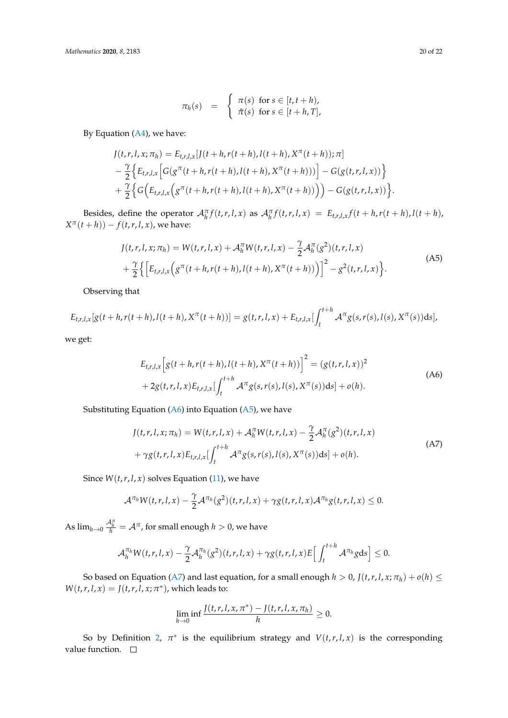<span id="page-19-1"></span>
$$
\pi_h(s) = \begin{cases} \pi(s) & \text{for } s \in [t, t+h), \\ \hat{\pi}(s) & \text{for } s \in [t+h, T], \end{cases}
$$

By Equation [\(A4\)](#page-18-2), we have:

$$
J(t, r, l, x; \pi_h) = E_{t, r, l, x}[J(t + h, r(t + h), l(t + h), X^{\pi}(t + h)); \pi] - \frac{\gamma}{2} \Big\{ E_{t, r, l, x} \Big[ G(g^{\pi}(t + h, r(t + h), l(t + h), X^{\pi}(t + h))) \Big] - G(g(t, r, l, x)) \Big\} + \frac{\gamma}{2} \Big\{ G(E_{t, r, l, x}(g^{\pi}(t + h, r(t + h), l(t + h), X^{\pi}(t + h))) \Big) - G(g(t, r, l, x)) \Big\}.
$$

Besides, define the operator  $\mathcal{A}_{h}^{\pi}f(t,r,l,x)$  as  $\mathcal{A}_{h}^{\pi}f(t,r,l,x) = E_{t,r,l,x}f(t+h,r(t+h),l(t+h),t(t+h))$  $X^{\pi}(t+h)) - f(t,r,l,x)$ , we have:

$$
J(t,r,l,x;\pi_h) = W(t,r,l,x) + \mathcal{A}_h^{\pi} W(t,r,l,x) - \frac{\gamma}{2} \mathcal{A}_h^{\pi}(g^2)(t,r,l,x) + \frac{\gamma}{2} \Big\{ \Big[E_{t,r,l,x} \Big(g^{\pi}(t+h,r(t+h),l(t+h),X^{\pi}(t+h))\Big)\Big]^2 - g^2(t,r,l,x) \Big\}.
$$
 (A5)

Observing that

<span id="page-19-0"></span>
$$
E_{t,r,l,x}[g(t+h,r(t+h),l(t+h),X^{\pi}(t+h))] = g(t,r,l,x) + E_{t,r,l,x}[\int_{t}^{t+h} \mathcal{A}^{\pi}g(s,r(s),l(s),X^{\pi}(s))ds],
$$

we get:

$$
E_{t,r,l,x} \left[ g(t+h,r(t+h),l(t+h),X^{\pi}(t+h)) \right]^2 = (g(t,r,l,x))^2
$$
  
+2g(t,r,l,x) E\_{t,r,l,x} \left[ \int\_t^{t+h} \mathcal{A}^{\pi} g(s,r(s),l(s),X^{\pi}(s)) ds \right] + o(h). (A6)

<span id="page-19-2"></span>Substituting Equation ( $A6$ ) into Equation ( $A5$ ), we have

$$
J(t, r, l, x; \pi_h) = W(t, r, l, x) + \mathcal{A}_h^{\pi} W(t, r, l, x) - \frac{\gamma}{2} \mathcal{A}_h^{\pi} (g^2)(t, r, l, x) + \gamma g(t, r, l, x) E_{t, r, l, x} \left[ \int_t^{t+h} \mathcal{A}^{\pi} g(s, r(s), l(s), X^{\pi}(s)) ds \right] + o(h).
$$
 (A7)

Since  $W(t, r, l, x)$  solves Equation [\(11\)](#page-5-1), we have

$$
\mathcal{A}^{\pi_h}W(t,r,l,x)-\frac{\gamma}{2}\mathcal{A}^{\pi_h}(g^2)(t,r,l,x)+\gamma g(t,r,l,x)\mathcal{A}^{\pi_h}g(t,r,l,x)\leq 0.
$$

As  $\lim_{h\to 0} \frac{\mathcal{A}_h^\pi}{h} = \mathcal{A}^\pi$ , for small enough  $h>0$ , we have

$$
\mathcal{A}_h^{\pi_h} W(t,r,l,x) - \frac{\gamma}{2} \mathcal{A}_h^{\pi_h}(g^2)(t,r,l,x) + \gamma g(t,r,l,x) E\Big[\int_t^{t+h} \mathcal{A}^{\pi_h} g ds\Big] \leq 0.
$$

So based on Equation [\(A7\)](#page-19-2) and last equation, for a small enough  $h > 0$ ,  $J(t, r, l, x; \pi_h) + o(h) \leq$  $W(t, r, l, x) = J(t, r, l, x; \pi^*)$ , which leads to:

$$
\lim_{h\to 0}\inf\frac{J(t,r,l,x,\pi^*)-J(t,r,l,x,\pi_h)}{h}\geq 0.
$$

So by Definition [2,](#page-5-3)  $\pi^*$  is the equilibrium strategy and  $V(t,r,l,x)$  is the corresponding value function.  $\square$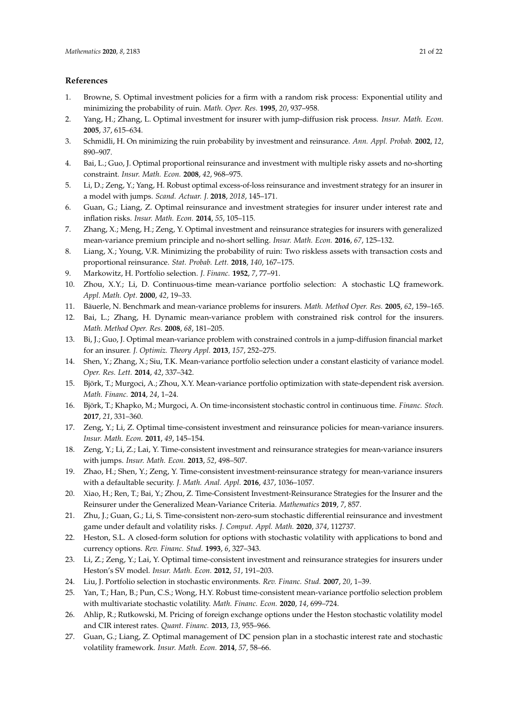## **References**

- <span id="page-20-0"></span>1. Browne, S. Optimal investment policies for a firm with a random risk process: Exponential utility and minimizing the probability of ruin. *Math. Oper. Res.* **1995**, *20*, 937–958.
- <span id="page-20-1"></span>2. Yang, H.; Zhang, L. Optimal investment for insurer with jump-diffusion risk process. *Insur. Math. Econ.* **2005**, *37*, 615–634.
- <span id="page-20-2"></span>3. Schmidli, H. On minimizing the ruin probability by investment and reinsurance. *Ann. Appl. Probab.* **2002**, *12*, 890–907.
- <span id="page-20-3"></span>4. Bai, L.; Guo, J. Optimal proportional reinsurance and investment with multiple risky assets and no-shorting constraint. *Insur. Math. Econ.* **2008**, *42*, 968–975.
- <span id="page-20-4"></span>5. Li, D.; Zeng, Y.; Yang, H. Robust optimal excess-of-loss reinsurance and investment strategy for an insurer in a model with jumps. *Scand. Actuar. J.* **2018**, *2018*, 145–171.
- <span id="page-20-5"></span>6. Guan, G.; Liang, Z. Optimal reinsurance and investment strategies for insurer under interest rate and inflation risks. *Insur. Math. Econ.* **2014**, *55*, 105–115.
- <span id="page-20-6"></span>7. Zhang, X.; Meng, H.; Zeng, Y. Optimal investment and reinsurance strategies for insurers with generalized mean-variance premium principle and no-short selling. *Insur. Math. Econ.* **2016**, *67*, 125–132.
- <span id="page-20-7"></span>8. Liang, X.; Young, V.R. Minimizing the probability of ruin: Two riskless assets with transaction costs and proportional reinsurance. *Stat. Probab. Lett.* **2018**, *140*, 167–175.
- <span id="page-20-8"></span>9. Markowitz, H. Portfolio selection. *J. Financ.* **1952**, *7*, 77–91.
- <span id="page-20-9"></span>10. Zhou, X.Y.; Li, D. Continuous-time mean-variance portfolio selection: A stochastic LQ framework. *Appl. Math. Opt.* **2000**, *42*, 19–33.
- <span id="page-20-10"></span>11. Bäuerle, N. Benchmark and mean-variance problems for insurers. *Math. Method Oper. Res.* **2005**, *62*, 159–165.
- <span id="page-20-11"></span>12. Bai, L.; Zhang, H. Dynamic mean-variance problem with constrained risk control for the insurers. *Math. Method Oper. Res.* **2008**, *68*, 181–205.
- <span id="page-20-12"></span>13. Bi, J.; Guo, J. Optimal mean-variance problem with constrained controls in a jump-diffusion financial market for an insurer. *J. Optimiz. Theory Appl.* **2013**, *157*, 252–275.
- <span id="page-20-13"></span>14. Shen, Y.; Zhang, X.; Siu, T.K. Mean-variance portfolio selection under a constant elasticity of variance model. *Oper. Res. Lett.* **2014**, *42*, 337–342.
- <span id="page-20-14"></span>15. Björk, T.; Murgoci, A.; Zhou, X.Y. Mean-variance portfolio optimization with state-dependent risk aversion. *Math. Financ.* **2014**, *24*, 1–24.
- <span id="page-20-15"></span>16. Björk, T.; Khapko, M.; Murgoci, A. On time-inconsistent stochastic control in continuous time. *Financ. Stoch.* **2017**, *21*, 331–360.
- <span id="page-20-16"></span>17. Zeng, Y.; Li, Z. Optimal time-consistent investment and reinsurance policies for mean-variance insurers. *Insur. Math. Econ.* **2011**, *49*, 145–154.
- <span id="page-20-17"></span>18. Zeng, Y.; Li, Z.; Lai, Y. Time-consistent investment and reinsurance strategies for mean-variance insurers with jumps. *Insur. Math. Econ.* **2013**, *52*, 498–507.
- <span id="page-20-18"></span>19. Zhao, H.; Shen, Y.; Zeng, Y. Time-consistent investment-reinsurance strategy for mean-variance insurers with a defaultable security. *J. Math. Anal. Appl.* **2016**, *437*, 1036–1057.
- <span id="page-20-19"></span>20. Xiao, H.; Ren, T.; Bai, Y.; Zhou, Z. Time-Consistent Investment-Reinsurance Strategies for the Insurer and the Reinsurer under the Generalized Mean-Variance Criteria. *Mathematics* **2019**, *7*, 857.
- <span id="page-20-20"></span>21. Zhu, J.; Guan, G.; Li, S. Time-consistent non-zero-sum stochastic differential reinsurance and investment game under default and volatility risks. *J. Comput. Appl. Math.* **2020**, *374*, 112737.
- <span id="page-20-21"></span>22. Heston, S.L. A closed-form solution for options with stochastic volatility with applications to bond and currency options. *Rev. Financ. Stud.* **1993**, *6*, 327–343.
- <span id="page-20-22"></span>23. Li, Z.; Zeng, Y.; Lai, Y. Optimal time-consistent investment and reinsurance strategies for insurers under Heston's SV model. *Insur. Math. Econ.* **2012**, *51*, 191–203.
- <span id="page-20-23"></span>24. Liu, J. Portfolio selection in stochastic environments. *Rev. Financ. Stud.* **2007**, *20*, 1–39.
- <span id="page-20-24"></span>25. Yan, T.; Han, B.; Pun, C.S.; Wong, H.Y. Robust time-consistent mean-variance portfolio selection problem with multivariate stochastic volatility. *Math. Financ. Econ.* **2020**, *14*, 699–724.
- <span id="page-20-25"></span>26. Ahlip, R.; Rutkowski, M. Pricing of foreign exchange options under the Heston stochastic volatility model and CIR interest rates. *Quant. Financ.* **2013**, *13*, 955–966.
- <span id="page-20-26"></span>27. Guan, G.; Liang, Z. Optimal management of DC pension plan in a stochastic interest rate and stochastic volatility framework. *Insur. Math. Econ.* **2014**, *57*, 58–66.